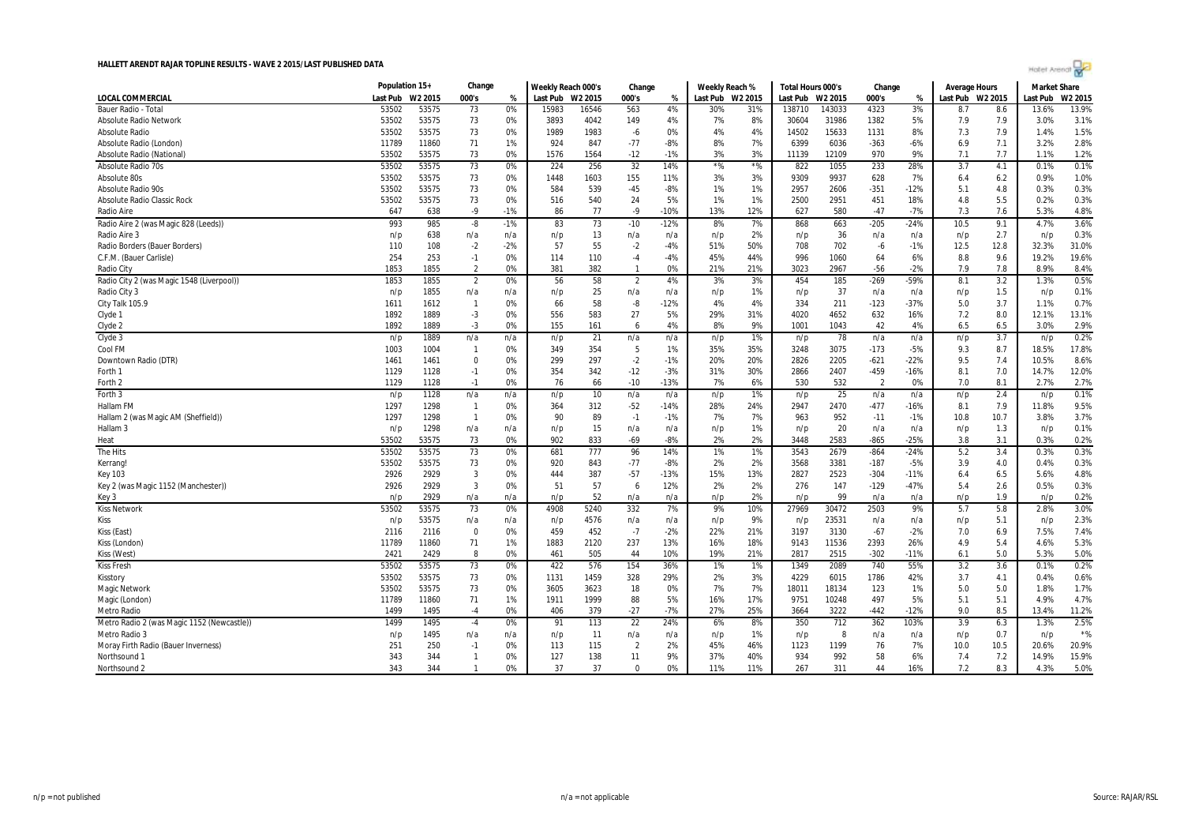|                                            | Population 15+ |         | Change         |       | Weekly Reach 000's |         | Change         |        | Weekly Reach % |         | Total Hours 000's |                     | Change         |        | Average Hours |         | <b>Market Share</b> |         |
|--------------------------------------------|----------------|---------|----------------|-------|--------------------|---------|----------------|--------|----------------|---------|-------------------|---------------------|----------------|--------|---------------|---------|---------------------|---------|
| LOCAL COMMERCIAL                           | Last Pub       | W2 2015 | 000's          | %     | Last Pub           | W2 2015 | 000's          | %      | Last Pub       | W2 2015 | Last Pub          | W <sub>2</sub> 2015 | 000's          | ℀      | Last Pub      | W2 2015 | Last Pub            | W2 2015 |
| <b>Bauer Radio - Total</b>                 | 53502          | 53575   | 73             | 0%    | 15983              | 16546   | 563            | 4%     | 30%            | 31%     | 138710            | 143033              | 4323           | 3%     | 8.7           | 8.6     | 13.6%               | 13.9%   |
| <b>Absolute Radio Network</b>              | 53502          | 53575   | 73             | 0%    | 3893               | 4042    | 149            | 4%     | 7%             | 8%      | 30604             | 31986               | 1382           | 5%     | 7.9           | 7.9     | 3.0%                | 3.1%    |
| <b>Absolute Radio</b>                      | 53502          | 53575   | 73             | 0%    | 1989               | 1983    | -6             | 0%     | 4%             | 4%      | 14502             | 15633               | 1131           | 8%     | 7.3           | 7.9     | 1.4%                | 1.5%    |
| Absolute Radio (London)                    | 11789          | 11860   | 71             | 1%    | 924                | 847     | $-77$          | $-8%$  | 8%             | 7%      | 6399              | 6036                | $-363$         | $-6%$  | 6.9           | 7.1     | 3.2%                | 2.8%    |
| Absolute Radio (National)                  | 53502          | 53575   | 73             | 0%    | 1576               | 1564    | $-12$          | $-1%$  | 3%             | 3%      | 11139             | 12109               | 970            | 9%     | 7.1           | 7.7     | 1.1%                | 1.2%    |
| Absolute Radio 70s                         | 53502          | 53575   | 73             | 0%    | 224                | 256     | 32             | 14%    | $*$ %          | $*$ %   | 822               | 1055                | 233            | 28%    | 3.7           | 4.1     | 0.1%                | 0.1%    |
| Absolute 80s                               | 53502          | 53575   | 73             | 0%    | 1448               | 1603    | 155            | 11%    | 3%             | 3%      | 9309              | 9937                | 628            | 7%     | 6.4           | 6.2     | 0.9%                | 1.0%    |
| Absolute Radio 90s                         | 53502          | 53575   | 73             | 0%    | 584                | 539     | $-45$          | $-8%$  | 1%             | 1%      | 2957              | 2606                | $-351$         | $-12%$ | 5.1           | 4.8     | 0.3%                | 0.3%    |
| Absolute Radio Classic Rock                | 53502          | 53575   | 73             | 0%    | 516                | 540     | 24             | 5%     | 1%             | 1%      | 2500              | 2951                | 451            | 18%    | 4.8           | 5.5     | 0.2%                | 0.3%    |
| <b>Radio Aire</b>                          | 647            | 638     | $-9$           | $-1%$ | 86                 | 77      | $-9$           | $-10%$ | 13%            | 12%     | 627               | 580                 | $-47$          | $-7%$  | 7.3           | 7.6     | 5.3%                | 4.8%    |
| Radio Aire 2 (was Magic 828 (Leeds))       | 993            | 985     | -8             | $-1%$ | 83                 | 73      | $-10$          | $-12%$ | 8%             | 7%      | 868               | 663                 | $-205$         | $-24%$ | 10.5          | 9.1     | 4.7%                | 3.6%    |
| Radio Aire 3                               | n/p            | 638     | n/a            | n/a   | n/p                | 13      | n/a            | n/a    | n/p            | 2%      | n/p               | 36                  | n/a            | n/a    | n/p           | 2.7     | n/p                 | 0.3%    |
| Radio Borders (Bauer Borders)              | 110            | 108     | $-2$           | $-2%$ | 57                 | 55      | $-2$           | $-4%$  | 51%            | 50%     | 708               | 702                 | -6             | $-1%$  | 12.5          | 12.8    | 32.3%               | 31.0%   |
| C.F.M. (Bauer Carlisle)                    | 254            | 253     | $-1$           | 0%    | 114                | 110     | -4             | $-4%$  | 45%            | 44%     | 996               | 1060                | 64             | 6%     | 8.8           | 9.6     | 19.2%               | 19.6%   |
| Radio City                                 | 1853           | 1855    | $\overline{2}$ | 0%    | 381                | 382     | $\overline{1}$ | 0%     | 21%            | 21%     | 3023              | 2967                | $-56$          | $-2%$  | 7.9           | 7.8     | 8.9%                | 8.4%    |
| Radio City 2 (was Magic 1548 (Liverpool))  | 1853           | 1855    | $\overline{2}$ | 0%    | 56                 | 58      | $\overline{2}$ | 4%     | 3%             | 3%      | 454               | 185                 | $-269$         | -59%   | 8.1           | 3.2     | 1.3%                | 0.5%    |
| Radio City 3                               | n/p            | 1855    | n/a            | n/a   | n/p                | 25      | n/a            | n/a    | n/p            | 1%      | n/p               | 37                  | n/a            | n/a    | n/p           | 1.5     | n/p                 | 0.1%    |
| City Talk 105.9                            | 1611           | 1612    | $\overline{1}$ | 0%    | 66                 | 58      | -8             | $-12%$ | 4%             | 4%      | 334               | 211                 | $-123$         | $-37%$ | 5.0           | 3.7     | 1.1%                | 0.7%    |
| Clyde 1                                    | 1892           | 1889    | $-3$           | 0%    | 556                | 583     | 27             | 5%     | 29%            | 31%     | 4020              | 4652                | 632            | 16%    | 7.2           | 8.0     | 12.1%               | 13.1%   |
| Clyde 2                                    | 1892           | 1889    | $-3$           | 0%    | 155                | 161     | 6              | 4%     | 8%             | 9%      | 1001              | 1043                | 42             | 4%     | 6.5           | 6.5     | 3.0%                | 2.9%    |
| Clyde 3                                    | n/p            | 1889    | n/a            | n/a   | n/p                | 21      | n/a            | n/a    | n/p            | 1%      | n/p               | 78                  | n/a            | n/a    | n/p           | 3.7     | n/p                 | 0.2%    |
| Cool FM                                    | 1003           | 1004    | $\overline{1}$ | 0%    | 349                | 354     | 5              | 1%     | 35%            | 35%     | 3248              | 3075                | $-173$         | $-5%$  | 9.3           | 8.7     | 18.5%               | 17.8%   |
| Downtown Radio (DTR)                       | 1461           | 1461    | 0              | 0%    | 299                | 297     | $-2$           | $-1%$  | 20%            | 20%     | 2826              | 2205                | $-621$         | $-22%$ | 9.5           | 7.4     | 10.5%               | 8.6%    |
| Forth 1                                    | 1129           | 1128    | $-1$           | 0%    | 354                | 342     | $-12$          | $-3%$  | 31%            | 30%     | 2866              | 2407                | $-459$         | $-16%$ | 8.1           | 7.0     | 14.7%               | 12.0%   |
| Forth 2                                    | 1129           | 1128    | $-1$           | 0%    | 76                 | 66      | $-10$          | $-13%$ | 7%             | 6%      | 530               | 532                 | $\overline{2}$ | 0%     | 7.0           | 8.1     | 2.7%                | 2.7%    |
| Forth 3                                    | n/p            | 1128    | n/a            | n/a   | n/p                | 10      | n/a            | n/a    | n/p            | 1%      | n/p               | 25                  | n/a            | n/a    | n/p           | 2.4     | n/p                 | 0.1%    |
| Hallam FM                                  | 1297           | 1298    | $\overline{1}$ | 0%    | 364                | 312     | $-52$          | $-14%$ | 28%            | 24%     | 2947              | 2470                | $-477$         | $-16%$ | 8.1           | 7.9     | 11.8%               | 9.5%    |
| Hallam 2 (was Magic AM (Sheffield))        | 1297           | 1298    | $\overline{1}$ | 0%    | 90                 | 89      | $-1$           | $-1%$  | 7%             | 7%      | 963               | 952                 | $-11$          | $-1%$  | 10.8          | 10.7    | 3.8%                | 3.7%    |
| Hallam <sub>3</sub>                        | n/p            | 1298    | n/a            | n/a   | n/p                | 15      | n/a            | n/a    | n/p            | 1%      | n/p               | 20                  | n/a            | n/a    | n/p           | 1.3     | n/p                 | 0.1%    |
| Heat                                       | 53502          | 53575   | 73             | 0%    | 902                | 833     | $-69$          | $-8%$  | 2%             | 2%      | 3448              | 2583                | $-865$         | $-25%$ | 3.8           | 3.1     | 0.3%                | 0.2%    |
| The Hits                                   | 53502          | 53575   | 73             | 0%    | 681                | 777     | 96             | 14%    | 1%             | 1%      | 3543              | 2679                | $-864$         | $-24%$ | 5.2           | 3.4     | 0.3%                | 0.3%    |
| Kerrang!                                   | 53502          | 53575   | 73             | 0%    | 920                | 843     | $-77$          | $-8%$  | 2%             | 2%      | 3568              | 3381                | $-187$         | $-5%$  | 3.9           | 4.0     | 0.4%                | 0.3%    |
| Key 103                                    | 2926           | 2929    | 3              | 0%    | 444                | 387     | $-57$          | $-13%$ | 15%            | 13%     | 2827              | 2523                | $-304$         | $-11%$ | 6.4           | 6.5     | 5.6%                | 4.8%    |
| Key 2 (was Magic 1152 (Manchester))        | 2926           | 2929    | $\overline{3}$ | 0%    | 51                 | 57      | 6              | 12%    | 2%             | 2%      | 276               | 147                 | $-129$         | $-47%$ | 5.4           | 2.6     | 0.5%                | 0.3%    |
| Key 3                                      | n/p            | 2929    | n/a            | n/a   | n/p                | 52      | n/a            | n/a    | n/p            | 2%      | n/p               | 99                  | n/a            | n/a    | n/p           | 1.9     | n/p                 | 0.2%    |
| <b>Kiss Network</b>                        | 53502          | 53575   | 73             | 0%    | 4908               | 5240    | 332            | 7%     | 9%             | 10%     | 27969             | 30472               | 2503           | 9%     | 5.7           | 5.8     | 2.8%                | 3.0%    |
| Kiss                                       | n/p            | 53575   | n/a            | n/a   | n/p                | 4576    | n/a            | n/a    | n/p            | 9%      | n/p               | 23531               | n/a            | n/a    | n/p           | 5.1     | n/p                 | 2.3%    |
| Kiss (East)                                | 2116           | 2116    | $\mathbf 0$    | 0%    | 459                | 452     | $-7$           | $-2%$  | 22%            | 21%     | 3197              | 3130                | $-67$          | $-2%$  | 7.0           | 6.9     | 7.5%                | 7.4%    |
| Kiss (London)                              | 11789          | 11860   | 71             | 1%    | 1883               | 2120    | 237            | 13%    | 16%            | 18%     | 9143              | 11536               | 2393           | 26%    | 4.9           | 5.4     | 4.6%                | 5.3%    |
| Kiss (West)                                | 2421           | 2429    | 8              | 0%    | 461                | 505     | 44             | 10%    | 19%            | 21%     | 2817              | 2515                | $-302$         | $-11%$ | 6.1           | 5.0     | 5.3%                | 5.0%    |
| <b>Kiss Fresh</b>                          | 53502          | 53575   | 73             | 0%    | 422                | 576     | 154            | 36%    | 1%             | 1%      | 1349              | 2089                | 740            | 55%    | 3.2           | 3.6     | 0.1%                | 0.2%    |
| Kisstory                                   | 53502          | 53575   | 73             | 0%    | 1131               | 1459    | 328            | 29%    | 2%             | 3%      | 4229              | 6015                | 1786           | 42%    | 3.7           | 4.1     | 0.4%                | 0.6%    |
| Magic Networl                              | 53502          | 53575   | 73             | 0%    | 3605               | 3623    | 18             | 0%     | 7%             | 7%      | 18011             | 18134               | 123            | 1%     | 5.0           | 5.0     | 1.8%                | 1.7%    |
| Magic (London)                             | 11789          | 11860   | 71             | 1%    | 1911               | 1999    | 88             | 5%     | 16%            | 17%     | 9751              | 10248               | 497            | 5%     | 5.1           | 5.1     | 4.9%                | 4.7%    |
| <b>Metro Radio</b>                         | 1499           | 1495    | $-4$           | 0%    | 406                | 379     | $-27$          | $-7%$  | 27%            | 25%     | 3664              | 3222                | $-442$         | $-12%$ | 9.0           | 8.5     | 13.4%               | 11.2%   |
| Metro Radio 2 (was Magic 1152 (Newcastle)) | 1499           | 1495    | $-4$           | 0%    | 91                 | 113     | 22             | 24%    | 6%             | 8%      | 350               | 712                 | 362            | 103%   | 3.9           | 6.3     | 1.3%                | 2.5%    |
| Metro Radio 3                              | n/p            | 1495    | n/a            | n/a   | n/p                | 11      | n/a            | n/a    | n/p            | 1%      | n/p               | 8                   | n/a            | n/a    | n/p           | 0.7     | n/p                 | $*$ %   |
| Moray Firth Radio (Bauer Inverness)        | 251            | 250     | $-1$           | 0%    | 113                | 115     | 2              | 2%     | 45%            | 46%     | 1123              | 1199                | 76             | 7%     | 10.0          | 10.5    | 20.6%               | 20.9%   |
| Northsound 1                               | 343            | 344     | $\mathbf{1}$   | 0%    | 127                | 138     | 11             | 9%     | 37%            | 40%     | 934               | 992                 | 58             | 6%     | 7.4           | 7.2     | 14.9%               | 15.9%   |
| Northsound 2                               | 343            | 344     | $\overline{1}$ | 0%    | 37                 | 37      | $\Omega$       | 0%     | 11%            | 11%     | 267               | 311                 | 44             | 16%    | 7.2           | 8.3     | 4.3%                | 5.0%    |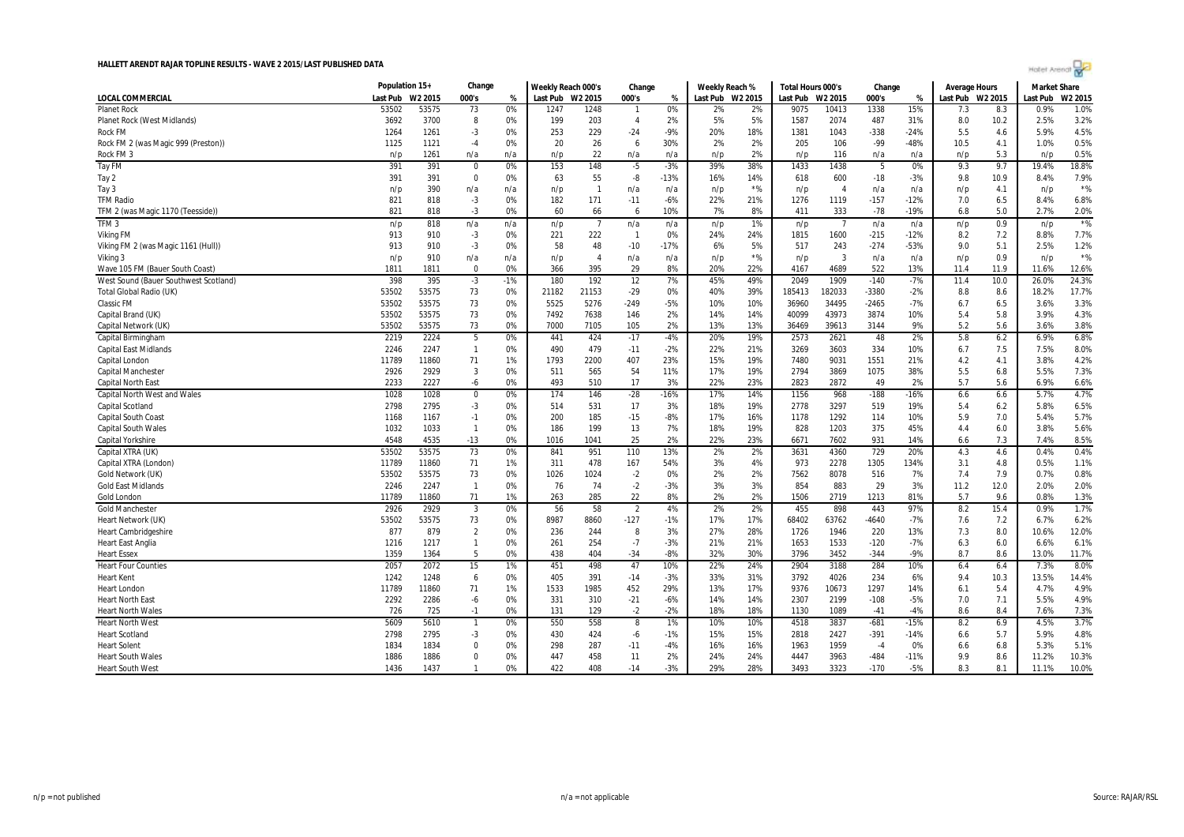

|                                       | Population 15+ |         | Change         |       | Weekly Reach 000's |                | Change         |        | Weekly Reach %   |       | Total Hours 000's |                | Change  |        | <b>Average Hours</b> |      | <b>Market Share</b> |         |
|---------------------------------------|----------------|---------|----------------|-------|--------------------|----------------|----------------|--------|------------------|-------|-------------------|----------------|---------|--------|----------------------|------|---------------------|---------|
| LOCAL COMMERCIAL                      | Last Pub       | W2 2015 | 000's          | %     | Last Pub W2 2015   |                | 000's          | %      | Last Pub W2 2015 |       | Last Pub          | W2 2015        | 000's   | %      | Last Pub W2 2015     |      | Last Pub            | W2 2015 |
| <b>Planet Rock</b>                    | 53502          | 53575   | 73             | 0%    | 1247               | 1248           | $\overline{1}$ | 0%     | 2%               | 2%    | 9075              | 10413          | 1338    | 15%    | 7.3                  | 8.3  | 0.9%                | 1.0%    |
| <b>Planet Rock (West Midlands)</b>    | 3692           | 3700    | 8              | 0%    | 199                | 203            | $\overline{4}$ | 2%     | 5%               | 5%    | 1587              | 2074           | 487     | 31%    | 8.0                  | 10.2 | 2.5%                | 3.2%    |
| Rock FM                               | 1264           | 1261    | $-3$           | 0%    | 253                | 229            | $-24$          | $-9%$  | 20%              | 18%   | 1381              | 1043           | $-338$  | $-24%$ | 5.5                  | 4.6  | 5.9%                | 4.5%    |
| Rock FM 2 (was Magic 999 (Preston))   | 1125           | 1121    | $-4$           | 0%    | 20                 | 26             | 6              | 30%    | 2%               | 2%    | 205               | 106            | -99     | -48%   | 10.5                 | 4.1  | 1.0%                | 0.5%    |
| Rock FM 3                             | n/p            | 1261    | n/a            | n/a   | n/p                | 22             | n/a            | n/a    | n/p              | 2%    | n/p               | 116            | n/a     | n/a    | n/p                  | 5.3  | n/p                 | 0.5%    |
| Tay FM                                | 391            | 391     | 0              | 0%    | 153                | 148            | $-5$           | $-3%$  | 39%              | 38%   | 1433              | 1438           | -5      | 0%     | 9.3                  | 9.7  | 19.4%               | 18.8%   |
| Tay 2                                 | 391            | 391     | $^{\circ}$     | 0%    | 63                 | 55             | -8             | $-13%$ | 16%              | 14%   | 618               | 600            | $-18$   | $-3%$  | 9.8                  | 10.9 | 8.4%                | 7.9%    |
| Tay 3                                 | n/p            | 390     | n/a            | n/a   | n/p                | $\overline{1}$ | n/a            | n/a    | n/p              | $*$ % | n/p               | $\overline{4}$ | n/a     | n/a    | n/p                  | 4.1  | n/p                 | $*$ %   |
| <b>TFM Radio</b>                      | 821            | 818     | $-3$           | 0%    | 182                | 171            | $-11$          | $-6%$  | 22%              | 21%   | 1276              | 1119           | $-157$  | $-12%$ | 7.0                  | 6.5  | 8.4%                | 6.8%    |
| TFM 2 (was Magic 1170 (Teesside))     | 821            | 818     | $-3$           | 0%    | 60                 | 66             | 6              | 10%    | 7%               | 8%    | 411               | 333            | $-78$   | $-19%$ | 6.8                  | 5.0  | 2.7%                | 2.0%    |
| TFM <sub>3</sub>                      | n/p            | 818     | n/a            | n/a   | n/p                | $\overline{7}$ | n/a            | n/a    | n/p              | 1%    | n/p               | -7             | n/a     | n/a    | n/p                  | 0.9  | n/p                 | $*$ %   |
| <b>Viking FM</b>                      | 913            | 910     | $-3$           | 0%    | 221                | 222            | $\overline{1}$ | 0%     | 24%              | 24%   | 1815              | 1600           | $-215$  | $-12%$ | 8.2                  | 7.2  | 8.8%                | 7.7%    |
| Viking FM 2 (was Magic 1161 (Hull))   | 913            | 910     | $-3$           | 0%    | 58                 | 48             | $-10$          | $-17%$ | 6%               | 5%    | 517               | 243            | $-274$  | $-53%$ | 9.0                  | 5.1  | 2.5%                | 1.2%    |
| Viking 3                              | n/p            | 910     | n/a            | n/a   | n/p                | $\overline{A}$ | n/a            | n/a    | n/p              | $*$ % | n/p               | 3              | n/a     | n/a    | n/p                  | 0.9  | n/p                 | $*$ %   |
| Wave 105 FM (Bauer South Coast)       | 1811           | 1811    | $\mathbf 0$    | 0%    | 366                | 395            | 29             | 8%     | 20%              | 22%   | 4167              | 4689           | 522     | 13%    | 11.4                 | 11.9 | 11.6%               | 12.6%   |
| West Sound (Bauer Southwest Scotland) | 398            | 395     | $-3$           | $-1%$ | 180                | 192            | 12             | 7%     | 45%              | 49%   | 2049              | 1909           | $-140$  | $-7%$  | 11.4                 | 10.0 | 26.0%               | 24.3%   |
| Total Global Radio (UK)               | 53502          | 53575   | 73             | 0%    | 21182              | 21153          | $-29$          | 0%     | 40%              | 39%   | 185413            | 182033         | $-3380$ | $-2%$  | 8.8                  | 8.6  | 18.2%               | 17.7%   |
| <b>Classic FM</b>                     | 53502          | 53575   | 73             | 0%    | 5525               | 5276           | $-249$         | $-5%$  | 10%              | 10%   | 36960             | 34495          | $-2465$ | $-7%$  | 6.7                  | 6.5  | 3.6%                | 3.3%    |
| Capital Brand (UK)                    | 53502          | 53575   | 73             | 0%    | 7492               | 7638           | 146            | 2%     | 14%              | 14%   | 40099             | 43973          | 3874    | 10%    | 5.4                  | 5.8  | 3.9%                | 4.3%    |
| Capital Network (UK)                  | 53502          | 53575   | 73             | 0%    | 7000               | 7105           | 105            | 2%     | 13%              | 13%   | 36469             | 39613          | 3144    | 9%     | 5.2                  | 5.6  | 3.6%                | 3.8%    |
| Capital Birmingham                    | 2219           | 2224    | 5              | 0%    | 441                | 424            | $-17$          | $-4%$  | 20%              | 19%   | 2573              | 2621           | 48      | 2%     | 5.8                  | 6.2  | 6.9%                | 6.8%    |
| <b>Capital East Midlands</b>          | 2246           | 2247    | $\overline{1}$ | 0%    | 490                | 479            | $-11$          | $-2%$  | 22%              | 21%   | 3269              | 3603           | 334     | 10%    | 6.7                  | 7.5  | 7.5%                | 8.0%    |
| Capital London                        | 11789          | 11860   | 71             | 1%    | 1793               | 2200           | 407            | 23%    | 15%              | 19%   | 7480              | 9031           | 1551    | 21%    | 4.2                  | 4.1  | 3.8%                | 4.2%    |
| Capital Manchester                    | 2926           | 2929    | $\overline{3}$ | 0%    | 511                | 565            | 54             | 11%    | 17%              | 19%   | 2794              | 3869           | 1075    | 38%    | 5.5                  | 6.8  | 5.5%                | 7.3%    |
| <b>Capital North East</b>             | 2233           | 2227    | -6             | 0%    | 493                | 510            | 17             | 3%     | 22%              | 23%   | 2823              | 2872           | 49      | 2%     | 5.7                  | 5.6  | 6.9%                | 6.6%    |
| <b>Capital North West and Wales</b>   | 1028           | 1028    | $^{\circ}$     | 0%    | 174                | 146            | $-28$          | $-16%$ | 17%              | 14%   | 1156              | 968            | $-188$  | $-16%$ | 6.6                  | 6.6  | 5.7%                | 4.7%    |
| <b>Capital Scotland</b>               | 2798           | 2795    | $-3$           | 0%    | 514                | 531            | 17             | 3%     | 18%              | 19%   | 2778              | 3297           | 519     | 19%    | 5.4                  | 6.2  | 5.8%                | 6.5%    |
| <b>Capital South Coast</b>            | 1168           | 1167    | $-1$           | 0%    | 200                | 185            | $-15$          | $-8%$  | 17%              | 16%   | 1178              | 1292           | 114     | 10%    | 5.9                  | 7.0  | 5.4%                | 5.7%    |
| <b>Capital South Wales</b>            | 1032           | 1033    | $\overline{1}$ | 0%    | 186                | 199            | 13             | 7%     | 18%              | 19%   | 828               | 1203           | 375     | 45%    | 4.4                  | 6.0  | 3.8%                | 5.6%    |
| Capital Yorkshire                     | 4548           | 4535    | $-13$          | 0%    | 1016               | 1041           | 25             | 2%     | 22%              | 23%   | 6671              | 7602           | 931     | 14%    | 6.6                  | 7.3  | 7.4%                | 8.5%    |
| Capital XTRA (UK)                     | 53502          | 53575   | 73             | 0%    | 841                | 951            | 110            | 13%    | 2%               | 2%    | 3631              | 4360           | 729     | 20%    | 4.3                  | 4.6  | 0.4%                | 0.4%    |
| Capital XTRA (London)                 | 11789          | 11860   | 71             | 1%    | 311                | 478            | 167            | 54%    | 3%               | 4%    | 973               | 2278           | 1305    | 134%   | 3.1                  | 4.8  | 0.5%                | 1.1%    |
| Gold Network (UK)                     | 53502          | 53575   | 73             | 0%    | 1026               | 1024           | $-2$           | 0%     | 2%               | 2%    | 7562              | 8078           | 516     | 7%     | 7.4                  | 7.9  | 0.7%                | 0.8%    |
| <b>Gold East Midlands</b>             | 2246           | 2247    | $\overline{1}$ | 0%    | 76                 | 74             | $-2$           | $-3%$  | 3%               | 3%    | 854               | 883            | 29      | 3%     | 11.2                 | 12.0 | 2.0%                | 2.0%    |
| Gold London                           | 11789          | 11860   | 71             | 1%    | 263                | 285            | 22             | 8%     | 2%               | 2%    | 1506              | 2719           | 1213    | 81%    | 5.7                  | 9.6  | 0.8%                | 1.3%    |
| <b>Gold Manchester</b>                | 2926           | 2929    | $\overline{3}$ | 0%    | 56                 | 58             | $\overline{2}$ | 4%     | 2%               | 2%    | 455               | 898            | 443     | 97%    | 8.2                  | 15.4 | 0.9%                | 1.7%    |
| Heart Network (UK)                    | 53502          | 53575   | 73             | 0%    | 8987               | 8860           | $-127$         | $-1%$  | 17%              | 17%   | 68402             | 63762          | $-4640$ | $-7%$  | 7.6                  | 7.2  | 6.7%                | 6.2%    |
| <b>Heart Cambridgeshire</b>           | 877            | 879     | $\overline{2}$ | 0%    | 236                | 244            | 8              | 3%     | 27%              | 28%   | 1726              | 1946           | 220     | 13%    | 7.3                  | 8.0  | 10.6%               | 12.0%   |
| <b>Heart East Anglia</b>              | 1216           | 1217    | $\mathbf{1}$   | 0%    | 261                | 254            | $-7$           | $-3%$  | 21%              | 21%   | 1653              | 1533           | $-120$  | $-7%$  | 6.3                  | 6.0  | 6.6%                | 6.1%    |
| <b>Heart Essex</b>                    | 1359           | 1364    | 5              | 0%    | 438                | 404            | $-34$          | $-8%$  | 32%              | 30%   | 3796              | 3452           | $-344$  | $-9%$  | 8.7                  | 8.6  | 13.0%               | 11.7%   |
| <b>Heart Four Counties</b>            | 2057           | 2072    | 15             | 1%    | 451                | 498            | 47             | 10%    | 22%              | 24%   | 2904              | 3188           | 284     | 10%    | 6.4                  | 6.4  | 7.3%                | 8.0%    |
| <b>Heart Kent</b>                     | 1242           | 1248    | 6              | 0%    | 405                | 391            | $-14$          | $-3%$  | 33%              | 31%   | 3792              | 4026           | 234     | 6%     | 9.4                  | 10.3 | 13.5%               | 14.4%   |
| <b>Heart London</b>                   | 11789          | 11860   | 71             | 1%    | 1533               | 1985           | 452            | 29%    | 13%              | 17%   | 9376              | 10673          | 1297    | 14%    | 6.1                  | 5.4  | 4.7%                | 4.9%    |
| <b>Heart North East</b>               | 2292           | 2286    | -6             | 0%    | 331                | 310            | $-21$          | $-6%$  | 14%              | 14%   | 2307              | 2199           | $-108$  | $-5%$  | 7.0                  | 7.1  | 5.5%                | 4.9%    |
| <b>Heart North Wales</b>              | 726            | 725     | $-1$           | 0%    | 131                | 129            | $-2$           | $-2%$  | 18%              | 18%   | 1130              | 1089           | $-41$   | $-4%$  | 8.6                  | 8.4  | 7.6%                | 7.3%    |
| <b>Heart North West</b>               | 5609           | 5610    | $\overline{1}$ | 0%    | 550                | 558            | 8              | 1%     | 10%              | 10%   | 4518              | 3837           | $-681$  | $-15%$ | 8.2                  | 6.9  | 4.5%                | 3.7%    |
| <b>Heart Scotland</b>                 | 2798           | 2795    | $-3$           | 0%    | 430                | 424            | -6             | $-1%$  | 15%              | 15%   | 2818              | 2427           | $-391$  | $-14%$ | 6.6                  | 5.7  | 5.9%                | 4.8%    |
| <b>Heart Solent</b>                   | 1834           | 1834    | 0              | 0%    | 298                | 287            | $-11$          | $-4%$  | 16%              | 16%   | 1963              | 1959           | $-4$    | 0%     | 6.6                  | 6.8  | 5.3%                | 5.1%    |
| <b>Heart South Wales</b>              | 1886           | 1886    | 0              | 0%    | 447                | 458            | 11             | 2%     | 24%              | 24%   | 4447              | 3963           | $-484$  | $-11%$ | 9.9                  | 8.6  | 11.2%               | 10.3%   |
| <b>Heart South West</b>               | 1436           | 1437    | $\mathbf{1}$   | 0%    | 422                | 408            | $-14$          | $-3%$  | 29%              | 28%   | 3493              | 3323           | $-170$  | $-5%$  | 8.3                  | 8.1  | 11.1%               | 10.0%   |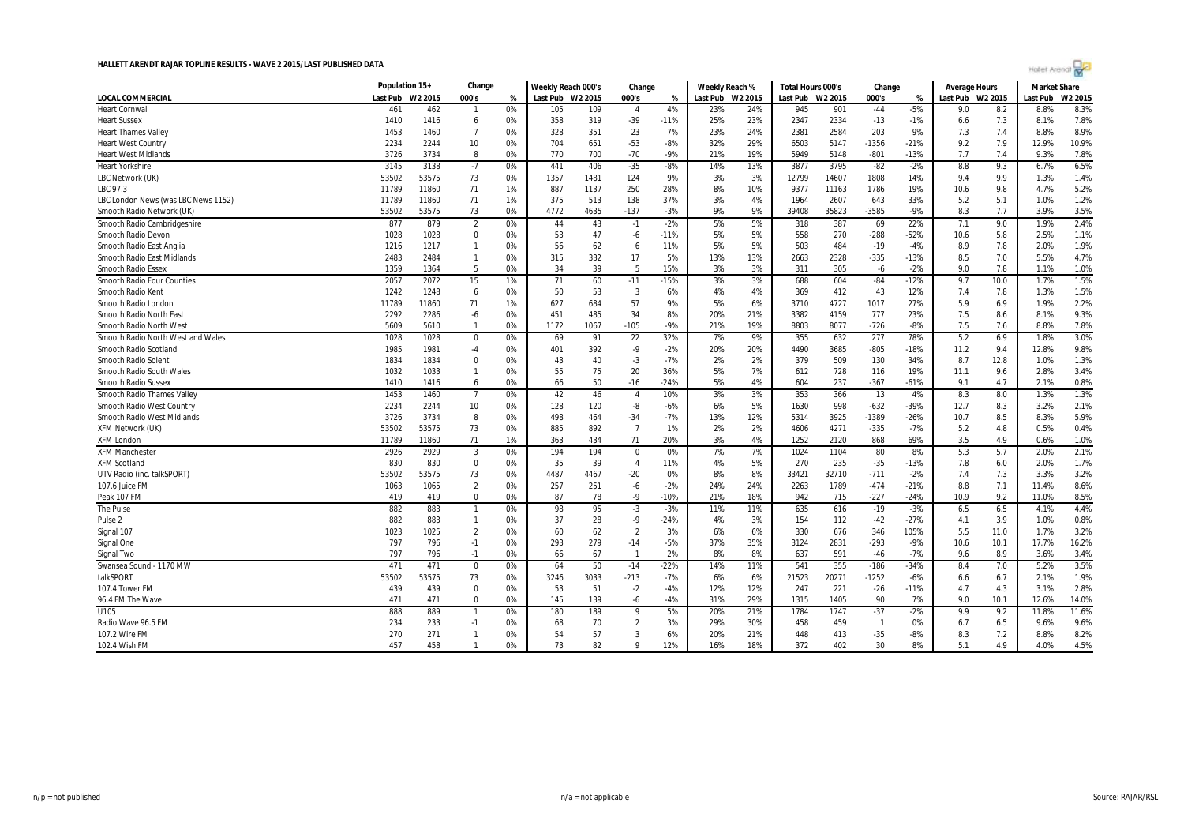|                                     | Population 15+   |       | Change         |    | Weekly Reach 000's |      | Change         |        | Weekly Reach %   |     | Total Hours 000's |       | Change         |               | Average Hours    |      | Market Share |         |
|-------------------------------------|------------------|-------|----------------|----|--------------------|------|----------------|--------|------------------|-----|-------------------|-------|----------------|---------------|------------------|------|--------------|---------|
| <b>LOCAL COMMERCIAL</b>             | Last Pub W2 2015 |       | 000's          | %  | Last Pub W2 2015   |      | 000's          | %      | Last Pub W2 2015 |     | Last Pub W2 2015  |       | 000's          | $\frac{1}{2}$ | Last Pub W2 2015 |      | Last Pub     | W2 2015 |
| <b>Heart Cornwall</b>               | 461              | 462   | $\mathbf{1}$   | 0% | 105                | 109  | $\overline{4}$ | 4%     | 23%              | 24% | 945               | 901   | $-44$          | $-5%$         | 9.0              | 8.2  | 8.8%         | 8.3%    |
| <b>Heart Sussex</b>                 | 1410             | 1416  | 6              | 0% | 358                | 319  | $-39$          | $-11%$ | 25%              | 23% | 2347              | 2334  | $-13$          | $-1%$         | 6.6              | 7.3  | 8.1%         | 7.8%    |
| <b>Heart Thames Valley</b>          | 1453             | 1460  | $\overline{7}$ | 0% | 328                | 351  | 23             | 7%     | 23%              | 24% | 2381              | 2584  | 203            | 9%            | 7.3              | 7.4  | 8.8%         | 8.9%    |
| <b>Heart West Country</b>           | 2234             | 2244  | 10             | 0% | 704                | 651  | $-53$          | $-8%$  | 32%              | 29% | 6503              | 5147  | $-1356$        | $-21%$        | 9.2              | 7.9  | 12.9%        | 10.9%   |
| <b>Heart West Midlands</b>          | 3726             | 3734  | 8              | 0% | 770                | 700  | $-70$          | $-9%$  | 21%              | 19% | 5949              | 5148  | $-801$         | $-13%$        | 7.7              | 7.4  | 9.3%         | 7.8%    |
| <b>Heart Yorkshire</b>              | 3145             | 3138  | $-7$           | 0% | 441                | 406  | $-35$          | $-8%$  | 14%              | 13% | 3877              | 3795  | $-82$          | $-2%$         | 8.8              | 9.3  | 6.7%         | 6.5%    |
| LBC Network (UK)                    | 53502            | 53575 | 73             | 0% | 1357               | 1481 | 124            | 9%     | 3%               | 3%  | 12799             | 14607 | 1808           | 14%           | 9.4              | 9.9  | 1.3%         | 1.4%    |
| LBC 97.3                            | 11789            | 11860 | 71             | 1% | 887                | 1137 | 250            | 28%    | 8%               | 10% | 9377              | 11163 | 1786           | 19%           | 10.6             | 9.8  | 4.7%         | 5.2%    |
| LBC London News (was LBC News 1152) | 11789            | 11860 | 71             | 1% | 375                | 513  | 138            | 37%    | 3%               | 4%  | 1964              | 2607  | 643            | 33%           | 5.2              | 5.1  | 1.0%         | 1.2%    |
| Smooth Radio Network (UK)           | 53502            | 53575 | 73             | 0% | 4772               | 4635 | $-137$         | $-3%$  | 9%               | 9%  | 39408             | 35823 | $-3585$        | $-9%$         | 8.3              | 7.7  | 3.9%         | 3.5%    |
| Smooth Radio Cambridgeshire         | 877              | 879   | $\overline{2}$ | 0% | 44                 | 43   | $-1$           | $-2%$  | 5%               | 5%  | 318               | 387   | 69             | 22%           | 7.1              | 9.0  | 1.9%         | 2.4%    |
| Smooth Radio Devon                  | 1028             | 1028  | $\mathbf 0$    | 0% | 53                 | 47   | -6             | $-11%$ | 5%               | 5%  | 558               | 270   | $-288$         | $-52%$        | 10.6             | 5.8  | 2.5%         | 1.1%    |
| Smooth Radio East Anglia            | 1216             | 1217  | $\mathbf{1}$   | 0% | 56                 | 62   | 6              | 11%    | 5%               | 5%  | 503               | 484   | $-19$          | $-4%$         | 8.9              | 7.8  | 2.0%         | 1.9%    |
| <b>Smooth Radio East Midlands</b>   | 2483             | 2484  | $\mathbf{1}$   | 0% | 315                | 332  | 17             | 5%     | 13%              | 13% | 2663              | 2328  | $-335$         | $-13%$        | 8.5              | 7.0  | 5.5%         | 4.7%    |
| <b>Smooth Radio Essex</b>           | 1359             | 1364  | 5              | 0% | 34                 | 39   | -5             | 15%    | 3%               | 3%  | 311               | 305   | $-6$           | $-2%$         | 9.0              | 7.8  | 1.1%         | 1.0%    |
| <b>Smooth Radio Four Counties</b>   | 2057             | 2072  | 15             | 1% | 71                 | 60   | $-11$          | $-15%$ | 3%               | 3%  | 688               | 604   | $-84$          | $-12%$        | 9.7              | 10.0 | 1.7%         | 1.5%    |
| Smooth Radio Kent                   | 1242             | 1248  | 6              | 0% | 50                 | 53   | 3              | 6%     | 4%               | 4%  | 369               | 412   | 43             | 12%           | 7.4              | 7.8  | 1.3%         | 1.5%    |
| Smooth Radio Londor                 | 11789            | 11860 | 71             | 1% | 627                | 684  | 57             | 9%     | 5%               | 6%  | 3710              | 4727  | 1017           | 27%           | 5.9              | 6.9  | 1.9%         | 2.2%    |
| Smooth Radio North East             | 2292             | 2286  | -6             | 0% | 451                | 485  | 34             | 8%     | 20%              | 21% | 3382              | 4159  | 777            | 23%           | 7.5              | 8.6  | 8.1%         | 9.3%    |
| Smooth Radio North West             | 5609             | 5610  | $\mathbf{1}$   | 0% | 1172               | 1067 | $-105$         | $-9%$  | 21%              | 19% | 8803              | 8077  | $-726$         | $-8%$         | 7.5              | 7.6  | 8.8%         | 7.8%    |
| Smooth Radio North West and Wales   | 1028             | 1028  | 0              | 0% | 69                 | 91   | 22             | 32%    | 7%               | 9%  | 355               | 632   | 277            | 78%           | 5.2              | 6.9  | 1.8%         | 3.0%    |
| Smooth Radio Scotland               | 1985             | 1981  | $-4$           | 0% | 401                | 392  | $-9$           | $-2%$  | 20%              | 20% | 4490              | 3685  | $-805$         | $-18%$        | 11.2             | 9.4  | 12.8%        | 9.8%    |
| <b>Smooth Radio Solent</b>          | 1834             | 1834  | $\Omega$       | 0% | 43                 | 40   | $-3$           | $-7%$  | 2%               | 2%  | 379               | 509   | 130            | 34%           | 8.7              | 12.8 | 1.0%         | 1.3%    |
| Smooth Radio South Wales            | 1032             | 1033  | $\mathbf{1}$   | 0% | 55                 | 75   | 20             | 36%    | 5%               | 7%  | 612               | 728   | 116            | 19%           | 11.1             | 9.6  | 2.8%         | 3.4%    |
| <b>Smooth Radio Sussex</b>          | 1410             | 1416  | 6              | 0% | 66                 | 50   | $-16$          | $-24%$ | 5%               | 4%  | 604               | 237   | $-367$         | $-61%$        | 9.1              | 4.7  | 2.1%         | 0.8%    |
| <b>Smooth Radio Thames Valley</b>   | 1453             | 1460  | $\overline{7}$ | 0% | 42                 | 46   | $\overline{4}$ | 10%    | 3%               | 3%  | 353               | 366   | 13             | 4%            | 8.3              | 8.0  | 1.3%         | 1.3%    |
| Smooth Radio West Country           | 2234             | 2244  | 10             | 0% | 128                | 120  | -8             | $-6%$  | 6%               | 5%  | 1630              | 998   | $-632$         | $-39%$        | 12.7             | 8.3  | 3.2%         | 2.1%    |
| Smooth Radio West Midlands          | 3726             | 3734  | 8              | 0% | 498                | 464  | $-34$          | $-7%$  | 13%              | 12% | 5314              | 3925  | $-1389$        | $-26%$        | 10.7             | 8.5  | 8.3%         | 5.9%    |
| <b>XFM Network (UK)</b>             | 53502            | 53575 | 73             | 0% | 885                | 892  | $\overline{7}$ | 1%     | 2%               | 2%  | 4606              | 4271  | $-335$         | $-7%$         | 5.2              | 4.8  | 0.5%         | 0.4%    |
| <b>XFM London</b>                   | 11789            | 11860 | 71             | 1% | 363                | 434  | 71             | 20%    | 3%               | 4%  | 1252              | 2120  | 868            | 69%           | 3.5              | 4.9  | 0.6%         | 1.0%    |
| <b>XFM Manchester</b>               | 2926             | 2929  | 3              | 0% | 194                | 194  | $\mathbf 0$    | 0%     | 7%               | 7%  | 1024              | 1104  | 80             | 8%            | 5.3              | 5.7  | 2.0%         | 2.1%    |
| <b>XFM Scotland</b>                 | 830              | 830   | $\mathbf 0$    | 0% | 35                 | 39   | $\overline{4}$ | 11%    | 4%               | 5%  | 270               | 235   | $-35$          | $-13%$        | 7.8              | 6.0  | 2.0%         | 1.7%    |
| UTV Radio (inc. talkSPORT)          | 53502            | 53575 | 73             | 0% | 4487               | 4467 | $-20$          | 0%     | 8%               | 8%  | 33421             | 32710 | $-711$         | $-2%$         | 7.4              | 7.3  | 3.3%         | 3.2%    |
| 107.6 Juice FM                      | 1063             | 1065  | $\overline{2}$ | 0% | 257                | 251  | $-6$           | $-2%$  | 24%              | 24% | 2263              | 1789  | $-474$         | $-21%$        | 8.8              | 7.1  | 11.4%        | 8.6%    |
| Peak 107 FM                         | 419              | 419   | $\Omega$       | 0% | 87                 | 78   | $-9$           | $-10%$ | 21%              | 18% | 942               | 715   | $-227$         | $-24%$        | 10.9             | 9.2  | 11.0%        | 8.5%    |
| The Pulse                           | 882              | 883   | $\overline{1}$ | 0% | 98                 | 95   | $-3$           | $-3%$  | 11%              | 11% | 635               | 616   | $-19$          | $-3%$         | 6.5              | 6.5  | 4.1%         | 4.4%    |
| Pulse <sub>2</sub>                  | 882              | 883   | $\mathbf{1}$   | 0% | 37                 | 28   | $-9$           | $-24%$ | 4%               | 3%  | 154               | 112   | $-42$          | $-27%$        | 4.1              | 3.9  | 1.0%         | 0.8%    |
| Signal 107                          | 1023             | 1025  | $\overline{2}$ | 0% | 60                 | 62   | $\overline{2}$ | 3%     | 6%               | 6%  | 330               | 676   | 346            | 105%          | 5.5              | 11.0 | 1.7%         | 3.2%    |
| Signal One                          | 797              | 796   | $-1$           | 0% | 293                | 279  | $-14$          | $-5%$  | 37%              | 35% | 3124              | 2831  | $-293$         | $-9%$         | 10.6             | 10.1 | 17.7%        | 16.2%   |
|                                     | 797              | 796   | $-1$           | 0% | 66                 | 67   | $\overline{1}$ | 2%     | 8%               | 8%  | 637               | 591   | $-46$          | $-7%$         | 9.6              | 8.9  | 3.6%         | 3.4%    |
| Signal Two                          |                  |       |                |    |                    |      |                |        |                  |     |                   |       |                |               |                  |      |              |         |
| Swansea Sound - 1170 MW             | 471              | 471   | $\mathbf 0$    | 0% | 64                 | 50   | $-14$          | $-22%$ | 14%              | 11% | 541               | 355   | $-186$         | $-34%$        | 8.4              | 7.0  | 5.2%         | 3.5%    |
| talkSPORT                           | 53502            | 53575 | 73             | 0% | 3246               | 3033 | $-213$         | $-7%$  | 6%               | 6%  | 21523             | 20271 | $-1252$        | $-6%$         | 6.6              | 6.7  | 2.1%         | 1.9%    |
| 107.4 Tower FM                      | 439              | 439   | $\Omega$       | 0% | 53                 | 51   | $-2$           | $-4%$  | 12%              | 12% | 247               | 221   | $-26$          | $-11%$        | 4.7              | 4.3  | 3.1%         | 2.8%    |
| 96.4 FM The Wave                    | 471              | 471   | $\mathbf 0$    | 0% | 145                | 139  | -6             | $-4%$  | 31%              | 29% | 1315              | 1405  | 90             | 7%            | 9.0              | 10.1 | 12.6%        | 14.0%   |
| U105                                | 888              | 889   | $\mathbf{1}$   | 0% | 180                | 189  | q              | 5%     | 20%              | 21% | 1784              | 1747  | $-37$          | $-2%$         | 9.9              | 9.2  | 11.8%        | 11.6%   |
| Radio Wave 96.5 FM                  | 234              | 233   | $-1$           | 0% | 68                 | 70   | $\overline{2}$ | 3%     | 29%              | 30% | 458               | 459   | $\overline{1}$ | 0%            | 6.7              | 6.5  | 9.6%         | 9.6%    |
| 107.2 Wire FM                       | 270              | 271   | $\mathbf{1}$   | 0% | 54                 | 57   | $\overline{3}$ | 6%     | 20%              | 21% | 448               | 413   | $-35$          | $-8%$         | 8.3              | 7.2  | 8.8%         | 8.2%    |
| 102.4 Wish FM                       | 457              | 458   | $\mathbf{1}$   | 0% | 73                 | 82   | $\mathbf{o}$   | 12%    | 16%              | 18% | 372               | 402   | 30             | 8%            | 5.1              | 4.9  | 4.0%         | 4.5%    |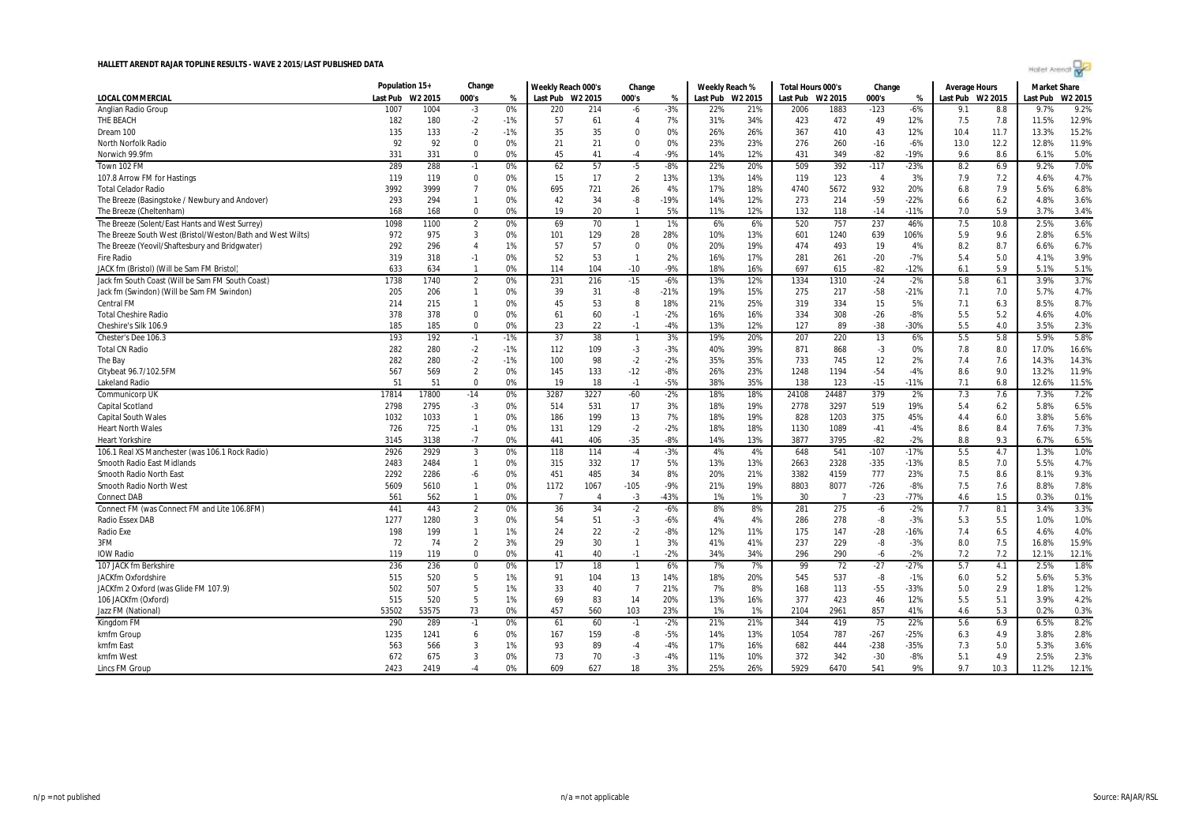

|                                                            | Population 15+ |         | Change         |       | Weekly Reach 000's |                | Change         |        | Weekly Reach %   |     | Total Hours 000's |                | Change         |        | <b>Average Hours</b> |      | <b>Market Share</b> |        |
|------------------------------------------------------------|----------------|---------|----------------|-------|--------------------|----------------|----------------|--------|------------------|-----|-------------------|----------------|----------------|--------|----------------------|------|---------------------|--------|
| LOCAL COMMERCIAL                                           | Last Pub       | W2 2015 | 000's          | %     | Last Pub W2 2015   |                | 000's          | %      | Last Pub W2 2015 |     | Last Pub W2 2015  |                | 000's          | %      | Last Pub W2 2015     |      | Last Pub            | W2 201 |
| Anglian Radio Group                                        | 1007           | 1004    | $-3$           | 0%    | 220                | 214            | -6             | $-3%$  | 22%              | 21% | 2006              | 1883           | $-123$         | $-6%$  | 9.1                  | 8.8  | 9.7%                | 9.2%   |
| THE BEACH                                                  | 182            | 180     | $-2$           | $-1%$ | 57                 | 61             | $\overline{4}$ | 7%     | 31%              | 34% | 423               | 472            | 49             | 12%    | 7.5                  | 7.8  | 11.5%               | 12.9%  |
| Dream 100                                                  | 135            | 133     | $-2$           | $-1%$ | 35                 | 35             | $\Omega$       | 0%     | 26%              | 26% | 367               | 410            | 43             | 12%    | 10.4                 | 11.7 | 13.3%               | 15.2%  |
| North Norfolk Radio                                        | 92             | 92      | $\mathbf 0$    | 0%    | 21                 | 21             | $\mathbf 0$    | 0%     | 23%              | 23% | 276               | 260            | $-16$          | $-6%$  | 13.0                 | 12.2 | 12.8%               | 11.9%  |
| Norwich 99.9fm                                             | 331            | 331     | $\Omega$       | 0%    | 45                 | 41             | -4             | $-9%$  | 14%              | 12% | 431               | 349            | $-82$          | $-19%$ | 9.6                  | 8.6  | 6.1%                | 5.0%   |
| Town 102 FM                                                | 289            | 288     | $-1$           | 0%    | 62                 | 57             | $-5$           | $-8%$  | 22%              | 20% | 509               | 392            | $-117$         | $-23%$ | 8.2                  | 6.9  | 9.2%                | 7.0%   |
| 107.8 Arrow FM for Hastings                                | 119            | 119     | $\Omega$       | 0%    | 15                 | 17             | $\overline{2}$ | 13%    | 13%              | 14% | 119               | 123            | $\overline{4}$ | 3%     | 7.9                  | 7.2  | 4.6%                | 4.7%   |
| <b>Total Celador Radio</b>                                 | 3992           | 3999    | $\overline{7}$ | 0%    | 695                | 721            | 26             | 4%     | 17%              | 18% | 4740              | 5672           | 932            | 20%    | 6.8                  | 7.9  | 5.6%                | 6.8%   |
| The Breeze (Basingstoke / Newbury and Andover)             | 293            | 294     | $\mathbf{1}$   | 0%    | 42                 | 34             | -8             | $-19%$ | 14%              | 12% | 273               | 214            | $-59$          | $-22%$ | 6.6                  | 6.2  | 4.8%                | 3.6%   |
| The Breeze (Cheltenham)                                    | 168            | 168     | $\Omega$       | 0%    | 19                 | 20             | $\mathbf{1}$   | 5%     | 11%              | 12% | 132               | 118            | $-14$          | $-11%$ | 7.0                  | 5.9  | 3.7%                | 3.4%   |
| The Breeze (Solent/East Hants and West Surrey)             | 1098           | 1100    | $\overline{2}$ | 0%    | 69                 | 70             | $\mathbf{1}$   | 1%     | 6%               | 6%  | 520               | 757            | 237            | 46%    | 7.5                  | 10.8 | 2.5%                | 3.6%   |
| The Breeze South West (Bristol/Weston/Bath and West Wilts) | 972            | 975     | 3              | 0%    | 101                | 129            | 28             | 28%    | 10%              | 13% | 601               | 1240           | 639            | 106%   | 5.9                  | 9.6  | 2.8%                | 6.5%   |
| The Breeze (Yeovil/Shaftesbury and Bridgwater)             | 292            | 296     | $\overline{4}$ | 1%    | 57                 | 57             | $\bf{0}$       | 0%     | 20%              | 19% | 474               | 493            | 19             | 4%     | 8.2                  | 8.7  | 6.6%                | 6.7%   |
| <b>Fire Radio</b>                                          | 319            | 318     | $-1$           | 0%    | 52                 | 53             | $\mathbf{1}$   | 2%     | 16%              | 17% | 281               | 261            | $-20$          | $-7%$  | 5.4                  | 5.0  | 4.1%                | 3.9%   |
| JACK fm (Bristol) (Will be Sam FM Bristol)                 | 633            | 634     | $\mathbf{1}$   | 0%    | 114                | 104            | $-10$          | $-9%$  | 18%              | 16% | 697               | 615            | $-82$          | $-12%$ | 6.1                  | 5.9  | 5.1%                | 5.1%   |
| Jack fm South Coast (Will be Sam FM South Coast)           | 1738           | 1740    | $\overline{2}$ | 0%    | 231                | 216            | $-15$          | $-6%$  | 13%              | 12% | 1334              | 1310           | $-24$          | $-2%$  | 5.8                  | 6.1  | 3.9%                | 3.7%   |
| Jack fm (Swindon) (Will be Sam FM Swindon)                 | 205            | 206     | $\mathbf{1}$   | 0%    | 39                 | 31             | -8             | $-21%$ | 19%              | 15% | 275               | 217            | $-58$          | $-21%$ | 7.1                  | 7.0  | 5.7%                | 4.7%   |
| Central FM                                                 | 214            | 215     | $\mathbf{1}$   | 0%    | 45                 | 53             | 8              | 18%    | 21%              | 25% | 319               | 334            | 15             | 5%     | 7.1                  | 6.3  | 8.5%                | 8.7%   |
| <b>Total Cheshire Radio</b>                                | 378            | 378     | $\mathbf 0$    | 0%    | 61                 | 60             | $-1$           | $-2%$  | 16%              | 16% | 334               | 308            | $-26$          | $-8%$  | 5.5                  | 5.2  | 4.6%                | 4.0%   |
| Cheshire's Silk 106.9                                      | 185            | 185     | $\Omega$       | 0%    | 23                 | 22             | $-1$           | $-4%$  | 13%              | 12% | 127               | 89             | $-38$          | $-30%$ | 5.5                  | 4.0  | 3.5%                | 2.3%   |
| Chester's Dee 106.3                                        | 193            | 192     | $-1$           | $-1%$ | 37                 | 38             | $\mathbf{1}$   | 3%     | 19%              | 20% | 207               | 220            | 13             | 6%     | 5.5                  | 5.8  | 5.9%                | 5.8%   |
| <b>Total CN Radio</b>                                      | 282            | 280     | $-2$           | $-1%$ | 112                | 109            | $-3$           | $-3%$  | 40%              | 39% | 871               | 868            | $-3$           | 0%     | 7.8                  | 8.0  | 17.0%               | 16.6%  |
| The Bay                                                    | 282            | 280     | $-2$           | $-1%$ | 100                | 98             | $-2$           | $-2%$  | 35%              | 35% | 733               | 745            | 12             | 2%     | 7.4                  | 7.6  | 14.3%               | 14.3%  |
| Citybeat 96.7/102.5FM                                      | 567            | 569     | $\overline{2}$ | 0%    | 145                | 133            | $-12$          | $-8%$  | 26%              | 23% | 1248              | 1194           | $-54$          | $-4%$  | 8.6                  | 9.0  | 13.2%               | 11.9%  |
| Lakeland Radio                                             | 51             | 51      | 0              | 0%    | 19                 | 18             | $-1$           | $-5%$  | 38%              | 35% | 138               | 123            | $-15$          | $-11%$ | 7.1                  | 6.8  | 12.6%               | 11.5%  |
| <b>Communicorp UK</b>                                      | 17814          | 17800   | $-14$          | 0%    | 3287               | 3227           | $-60$          | $-2%$  | 18%              | 18% | 24108             | 24487          | 379            | 2%     | 7.3                  | 7.6  | 7.3%                | 7.2%   |
| <b>Capital Scotland</b>                                    | 2798           | 2795    | $-3$           | 0%    | 514                | 531            | 17             | 3%     | 18%              | 19% | 2778              | 3297           | 519            | 19%    | 5.4                  | 6.2  | 5.8%                | 6.5%   |
| <b>Capital South Wales</b>                                 | 1032           | 1033    | $\mathbf{1}$   | 0%    | 186                | 199            | 13             | 7%     | 18%              | 19% | 828               | 1203           | 375            | 45%    | 4.4                  | 6.0  | 3.8%                | 5.6%   |
| <b>Heart North Wales</b>                                   | 726            | 725     | $-1$           | 0%    | 131                | 129            | $-2$           | $-2%$  | 18%              | 18% | 1130              | 1089           | $-41$          | $-4%$  | 8.6                  | 8.4  | 7.6%                | 7.3%   |
| <b>Heart Yorkshire</b>                                     | 3145           | 3138    | $-7$           | 0%    | 441                | 406            | $-35$          | $-8%$  | 14%              | 13% | 3877              | 3795           | $-82$          | $-2%$  | 8.8                  | 9.3  | 6.7%                | 6.5%   |
| 106.1 Real XS Manchester (was 106.1 Rock Radio)            | 2926           | 2929    | $\overline{3}$ | 0%    | 118                | 114            | $-4$           | $-3%$  | 4%               | 4%  | 648               | 541            | $-107$         | $-17%$ | 5.5                  | 4.7  | 1.3%                | 1.0%   |
| Smooth Radio East Midlands                                 | 2483           | 2484    | $\mathbf{1}$   | 0%    | 315                | 332            | 17             | 5%     | 13%              | 13% | 2663              | 2328           | $-335$         | $-13%$ | 8.5                  | 7.0  | 5.5%                | 4.7%   |
| Smooth Radio North East                                    | 2292           | 2286    | $-6$           | 0%    | 451                | 485            | 34             | 8%     | 20%              | 21% | 3382              | 4159           | 777            | 23%    | 7.5                  | 8.6  | 8.1%                | 9.3%   |
| <b>Smooth Radio North West</b>                             | 5609           | 5610    | $\mathbf{1}$   | 0%    | 1172               | 1067           | $-105$         | $-9%$  | 21%              | 19% | 8803              | 8077           | $-726$         | $-8%$  | 7.5                  | 7.6  | 8.8%                | 7.8%   |
| <b>Connect DAB</b>                                         | 561            | 562     | $\mathbf{1}$   | 0%    | $\overline{7}$     | $\overline{4}$ | $-3$           | $-43%$ | 1%               | 1%  | 30                | $\overline{7}$ | $-23$          | $-77%$ | 4.6                  | 1.5  | 0.3%                | 0.1%   |
| Connect FM (was Connect FM and Lite 106.8FM)               | 441            | 443     | $\overline{2}$ | 0%    | 36                 | 34             | $-2$           | $-6%$  | 8%               | 8%  | 281               | 275            | $-6$           | $-2%$  | 7.7                  | 8.1  | 3.4%                | 3.3%   |
| <b>Radio Essex DAB</b>                                     | 1277           | 1280    | 3              | 0%    | 54                 | 51             | $-3$           | $-6%$  | 4%               | 4%  | 286               | 278            | -8             | $-3%$  | 5.3                  | 5.5  | 1.0%                | 1.0%   |
| Radio Exe                                                  | 198            | 199     | $\mathbf{1}$   | 1%    | 24                 | 22             | $-2$           | $-8%$  | 12%              | 11% | 175               | 147            | $-28$          | $-16%$ | 7.4                  | 6.5  | 4.6%                | 4.0%   |
| 3FM                                                        | 72             | 74      | $\overline{2}$ | 3%    | 29                 | 30             | $\mathbf{1}$   | 3%     | 41%              | 41% | 237               | 229            | -8             | $-3%$  | 8.0                  | 7.5  | 16.8%               | 15.9%  |
| <b>IOW Radio</b>                                           | 119            | 119     | 0              | 0%    | 41                 | 40             | $-1$           | $-2%$  | 34%              | 34% | 296               | 290            | $-6$           | $-2%$  | 7.2                  | 7.2  | 12.1%               | 12.1%  |
| 107 JACK fm Berkshire                                      | 236            | 236     | $\Omega$       | 0%    | 17                 | 18             | $\mathbf{1}$   | 6%     | 7%               | 7%  | 99                | 72             | $-27$          | $-27%$ | 5.7                  | 4.1  | 2.5%                | 1.8%   |
| <b>JACKfm Oxfordshire</b>                                  | 515            | 520     | 5              | 1%    | 91                 | 104            | 13             | 14%    | 18%              | 20% | 545               | 537            | -8             | $-1%$  | 6.0                  | 5.2  | 5.6%                | 5.3%   |
| JACKfm 2 Oxford (was Glide FM 107.9)                       | 502            | 507     | 5              | 1%    | 33                 | 40             | $\overline{7}$ | 21%    | 7%               | 8%  | 168               | 113            | $-55$          | $-33%$ | 5.0                  | 2.9  | 1.8%                | 1.2%   |
| 106 JACKfm (Oxford)                                        | 515            | 520     | 5              | 1%    | 69                 | 83             | 14             | 20%    | 13%              | 16% | 377               | 423            | 46             | 12%    | 5.5                  | 5.1  | 3.9%                | 4.2%   |
| Jazz FM (National)                                         | 53502          | 53575   | 73             | 0%    | 457                | 560            | 103            | 23%    | 1%               | 1%  | 2104              | 2961           | 857            | 41%    | 4.6                  | 5.3  | 0.2%                | 0.3%   |
| Kingdom FM                                                 | 290            | 289     | $-1$           | 0%    | 61                 | 60             | $-1$           | $-2%$  | 21%              | 21% | 344               | 419            | 75             | 22%    | 5.6                  | 6.9  | 6.5%                | 8.2%   |
| kmfm Group                                                 | 1235           | 1241    | 6              | 0%    | 167                | 159            | -8             | $-5%$  | 14%              | 13% | 1054              | 787            | $-267$         | $-25%$ | 6.3                  | 4.9  | 3.8%                | 2.8%   |
| kmfm East                                                  | 563            | 566     | 3              | 1%    | 93                 | 89             | -4             | $-4%$  | 17%              | 16% | 682               | 444            | $-238$         | $-35%$ | 7.3                  | 5.0  | 5.3%                | 3.6%   |
| kmfm West                                                  | 672            | 675     | 3              | 0%    | 73                 | 70             | $-3$           | $-4%$  | 11%              | 10% | 372               | 342            | $-30$          | $-8%$  | 5.1                  | 4.9  | 2.5%                | 2.3%   |
| Lincs FM Group                                             | 2423           | 2419    | $-4$           | 0%    | 609                | 627            | 18             | 3%     | 25%              | 26% | 5929              | 6470           | 541            | 9%     | 9.7                  | 10.3 | 11.2%               | 12.1%  |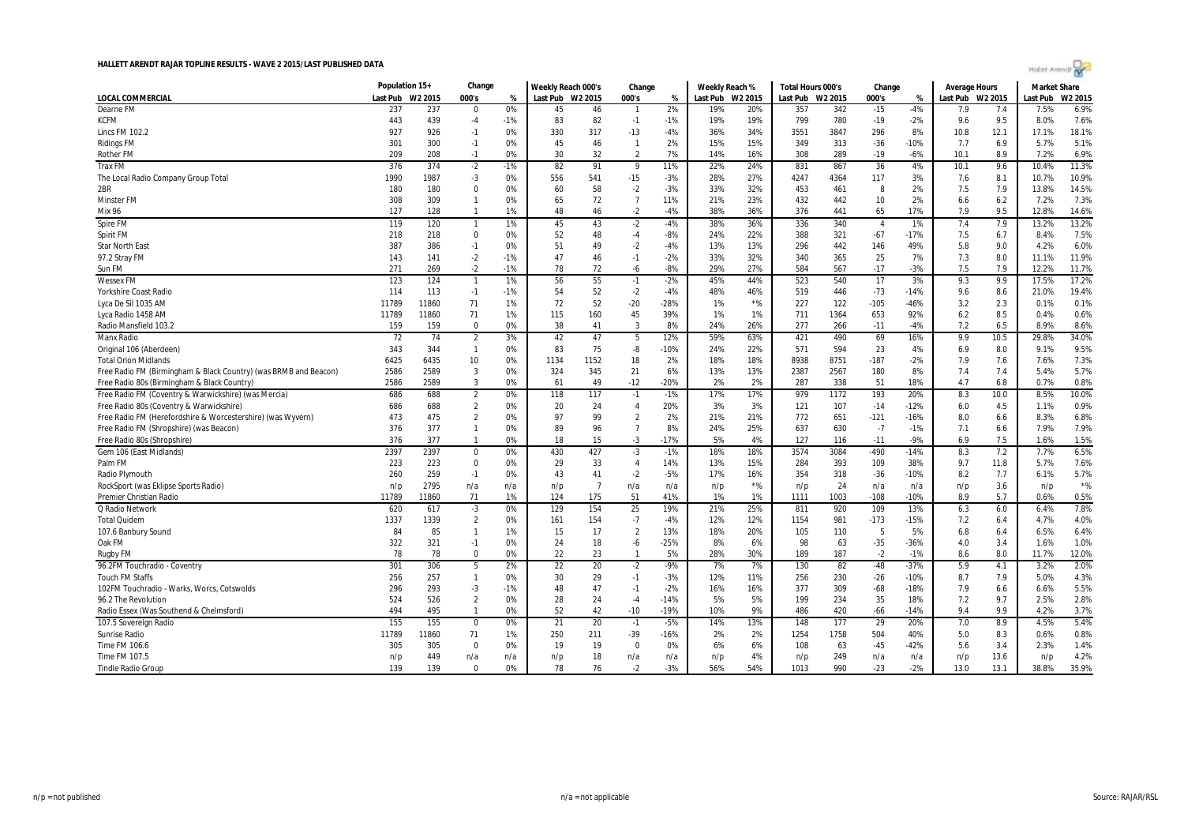|                                                                        | Population 15+ |             | Change                         |          | Weekly Reach 000's |                      | Change                 |               | Weekly Reach %   |              | Total Hours 000's |            | Change         |                 | <b>Average Hours</b> |            | <b>Market Share</b> |               |
|------------------------------------------------------------------------|----------------|-------------|--------------------------------|----------|--------------------|----------------------|------------------------|---------------|------------------|--------------|-------------------|------------|----------------|-----------------|----------------------|------------|---------------------|---------------|
| LOCAL COMMERCIAL                                                       | Last Pub       | W2 2015     | 000's                          | %        | Last Pub W2 2015   |                      | 000's                  | %             | Last Pub W2 2015 |              | Last Pub          | W2 2015    | 000's          | %               | Last Pub W2 2015     |            | Last Pub            | W2 2015       |
| Dearne FM                                                              | 237            | 237         | $\Omega$                       | 0%       | 45                 | 46                   | $\mathbf{1}$           | 2%            | 19%              | 20%          | 357               | 342        | $-15$          | $-4%$           | 7.9                  | 7.4        | 7.5%                | 6.9%          |
| <b>KCFM</b>                                                            | 443            | 439         | $-4$                           | $-1%$    | 83                 | 82                   | $-1$                   | $-1%$         | 19%              | 19%          | 799               | 780        | $-19$          | $-2%$           | 9.6                  | 9.5        | 8.0%                | 7.6%          |
| Lincs FM 102.2                                                         | 927            | 926         | $-1$                           | 0%       | 330                | 317                  | $-13$                  | $-4%$         | 36%              | 34%          | 3551              | 3847       | 296            | 8%              | 10.8                 | 12.1       | 17.1%               | 18.1%         |
| <b>Ridings FM</b>                                                      | 301            | 300         | $-1$                           | 0%       | 45                 | 46                   | $\mathbf{1}$           | 2%            | 15%              | 15%          | 349               | 313        | $-36$          | $-10%$          | 7.7                  | 6.9        | 5.7%                | 5.1%          |
| <b>Rother FM</b>                                                       | 209            | 208         | $-1$                           | 0%       | 30                 | 32                   | $\overline{2}$         | 7%            | 14%              | 16%          | 308               | 289        | $-19$          | $-6%$           | 10.1                 | 8.9        | 7.2%                | 6.9%          |
| <b>Trax FM</b>                                                         | 376            | 374         | $-2$                           | $-1%$    | 82                 | 91                   | 9                      | 11%           | 22%              | 24%          | 831               | 867        | 36             | 4%              | 10.1                 | 9.6        | 10.4%               | 11.3%         |
| The Local Radio Company Group Total                                    | 1990           | 1987        | $-3$                           | 0%       | 556                | 541                  | $-15$                  | $-3%$         | 28%              | 27%          | 4247              | 4364       | 117            | 3%              | 7.6                  | 8.1        | 10.7%               | 10.9%         |
| 2BR                                                                    | 180            | 180         | $\Omega$                       | 0%       | 60                 | 58                   | $-2$                   | $-3%$         | 33%              | 32%          | 453               | 461        | 8              | 2%              | 7.5                  | 7.9        | 13.8%               | 14.5%         |
| <b>Minster FM</b>                                                      | 308            | 309         | $\mathbf{1}$                   | 0%       | 65                 | 72                   | $\overline{7}$         | 11%           | 21%              | 23%          | 432               | 442        | 10             | 2%              | 6.6                  | 6.2        | 7.2%                | 7.3%          |
| Mix 96                                                                 | 127            | 128         | $\mathbf{1}$                   | 1%       | 48                 | 46                   | $-2$                   | $-4%$         | 38%              | 36%          | 376               | 441        | 65             | 17%             | 7.9                  | 9.5        | 12.8%               | 14.6%         |
| Spire FM                                                               | 119            | 120         | $\mathbf{1}$                   | 1%       | 45                 | 43                   | $-2$                   | $-4%$         | 38%              | 36%          | 336               | 340        | $\overline{4}$ | 1%              | 7.4                  | 7.9        | 13.2%               | 13.2%         |
| Spirit FM                                                              | 218            | 218         | $\mathbf 0$                    | 0%       | 52                 | 48                   | $-4$                   | $-8%$         | 24%              | 22%          | 388               | 321        | $-67$          | $-17%$          | 7.5                  | 6.7        | 8.4%                | 7.5%          |
| <b>Star North East</b>                                                 | 387            | 386         | $-1$                           | 0%       | 51                 | 49                   | $-2$                   | $-4%$         | 13%              | 13%          | 296               | 442        | 146            | 49%             | 5.8                  | 9.0        | 4.2%                | 6.0%          |
| 97.2 Stray FM                                                          | 143            | 141         | $-2$                           | $-1%$    | 47                 | 46                   | $-1$                   | $-2%$         | 33%              | 32%          | 340               | 365        | 25             | 7%              | 7.3                  | 8.0        | 11.1%               | 11.9%         |
| Sun FM                                                                 | 271            | 269         | $-2$                           | $-1%$    | 78                 | 72                   | -6                     | $-8%$         | 29%              | 27%          | 584               | 567        | $-17$          | $-3%$           | 7.5                  | 7.9        | 12.2%               | 11.7%         |
| <b>Wessex FM</b>                                                       | 123            | 124         | $\overline{1}$                 | 1%       | 56                 | 55                   | $-1$                   | $-2%$         | 45%              | 44%          | 523               | 540        | 17             | 3%              | 9.3                  | 9.9        | 17.5%               | 17.2%         |
|                                                                        | 114            | 113         | $-1$                           | $-1%$    | 54                 | 52                   | $-2$                   | $-4%$         | 48%              |              | 519               |            | $-73$          | $-14%$          |                      |            |                     | 19.4%         |
| Yorkshire Coast Radio<br>Lyca De Sil 1035 AM                           | 11789          | 11860       | 71                             | 1%       | 72                 | 52                   | $-20$                  | $-28%$        | 1%               | 46%<br>$*$ % | 227               | 446<br>122 | $-105$         | $-46%$          | 9.6<br>3.2           | 8.6<br>2.3 | 21.0%<br>0.1%       | 0.1%          |
| Lyca Radio 1458 AM                                                     | 11789          | 11860       | 71                             | 1%       | 115                | 160                  | 45                     | 39%           | 1%               | 1%           | 711               | 1364       | 653            | 92%             | 6.2                  | 8.5        | 0.4%                | 0.6%          |
|                                                                        | 159            |             | $\Omega$                       | 0%       | 38                 | 41                   | 3                      | 8%            | 24%              | 26%          | 277               |            |                | $-4%$           | 7.2                  | 6.5        | 8.9%                | 8.6%          |
| Radio Mansfield 103.2<br><b>Manx Radio</b>                             | 72             | 159         |                                | 3%       | 42                 | 47                   |                        |               | 59%              | 63%          | 421               | 266<br>490 | $-11$<br>69    | 16%             | 9.9                  | 10.5       | 29.8%               | 34.0%         |
|                                                                        | 343            | 74<br>344   | $\overline{2}$<br>$\mathbf{1}$ | 0%       |                    | 75                   | 5                      | 12%<br>$-10%$ | 24%              |              | 571               | 594        |                |                 |                      |            | 9.1%                | 9.5%          |
| Original 106 (Aberdeen)<br><b>Total Orion Midlands</b>                 | 6425           | 6435        | 10                             | 0%       | 83<br>1134         | 1152                 | -8<br>18               | 2%            | 18%              | 22%<br>18%   | 8938              | 8751       | 23<br>$-187$   | 4%<br>$-2%$     | 6.9<br>7.9           | 8.0<br>7.6 | 7.6%                | 7.3%          |
|                                                                        |                |             | 3                              | 0%       |                    |                      |                        |               |                  |              |                   |            |                |                 |                      |            | 5.4%                | 5.7%          |
| Free Radio FM (Birmingham & Black Country) (was BRMB and Beacon)       | 2586           | 2589        | 3                              | 0%       | 324<br>61          | 345<br>49            | 21                     | 6%<br>$-20%$  | 13%              | 13%          | 2387<br>287       | 2567       | 180            | 8%<br>18%       | 7.4<br>4.7           | 7.4<br>6.8 | 0.7%                | 0.8%          |
| Free Radio 80s (Birmingham & Black Country)                            | 2586           | 2589        |                                |          |                    |                      | $-12$                  |               | 2%               | 2%           |                   | 338        | 51             |                 |                      |            |                     |               |
| Free Radio FM (Coventry & Warwickshire) (was Mercia)                   | 686            | 688         | $\overline{2}$                 | 0%       | 118                | 117                  | $-1$                   | $-1%$         | 17%              | 17%          | 979               | 1172       | 193            | 20%             | 8.3                  | 10.0       | 8.5%                | 10.0%         |
| Free Radio 80s (Coventry & Warwickshire)                               | 686            | 688         | $\overline{2}$                 | 0%       | 20                 | 24                   | $\overline{4}$         | 20%           | 3%               | 3%           | 121               | 107        | $-14$          | $-12%$          | 6.0                  | 4.5        | 1.1%                | 0.9%          |
| Free Radio FM (Herefordshire & Worcestershire) (was Wyvern)            | 473            | 475         | $\overline{2}$                 | 0%       | 97                 | 99                   | $\overline{2}$         | 2%            | 21%              | 21%          | 772               | 651        | $-121$         | $-16%$          | 8.0                  | 6.6        | 8.3%                | 6.8%          |
| Free Radio FM (Shropshire) (was Beacon)<br>Free Radio 80s (Shropshire) | 376<br>376     | 377<br>377  | $\mathbf{1}$<br>$\overline{1}$ | 0%<br>0% | 89<br>18           | 96<br>15             | $\overline{7}$<br>$-3$ | 8%<br>$-17%$  | 24%<br>5%        | 25%<br>4%    | 637<br>127        | 630<br>116 | $-7$<br>$-11$  | $-1%$<br>$-9%$  | 7.1<br>6.9           | 6.6<br>7.5 | 7.9%<br>1.6%        | 7.9%<br>1.5%  |
|                                                                        |                |             |                                |          |                    |                      |                        |               |                  |              |                   |            |                |                 |                      |            |                     |               |
| Gem 106 (East Midlands)                                                | 2397           | 2397        | 0                              | 0%       | 430                | 427                  | $-3$                   | $-1%$         | 18%              | 18%          | 3574              | 3084       | $-490$         | $-14%$          | 8.3                  | 7.2        | 7.7%                | 6.5%          |
| Palm FM                                                                | 223            | 223         | 0                              | 0%       | 29                 | 33                   | 4                      | 14%           | 13%              | 15%          | 284               | 393        | 109            | 38%             | 9.7                  | 11.8       | 5.7%                | 7.6%          |
| Radio Plymouth                                                         | 260            | 259         | $-1$                           | 0%       | 43                 | 41<br>$\overline{7}$ | $-2$                   | $-5%$         | 17%              | 16%          | 354               | 318        | $-36$          | $-10%$          | 8.2                  | 7.7        | 6.1%                | 5.7%<br>$*$ % |
| RockSport (was Eklipse Sports Radio)                                   | n/p            | 2795        | n/a<br>71                      | n/a      | n/p                | 175                  | n/a                    | n/a           | n/p              | $*$ %        | n/p               | 24         | n/a            | n/a             | n/p                  | 3.6<br>5.7 | n/p                 | 0.5%          |
| Premier Christian Radio                                                | 11789          | 11860       |                                | 1%       | 124                |                      | 51                     | 41%           | 1%               | 1%           | 1111              | 1003       | $-108$         | $-10%$          | 8.9                  |            | 0.6%                |               |
| Q Radio Network                                                        | 620            | 617<br>1339 | $-3$<br>$\overline{2}$         | 0%<br>0% | 129                | 154<br>154           | 25                     | 19%<br>$-4%$  | 21%              | 25%<br>12%   | 811               | 920        | 109            | 13%<br>$-15%$   | 6.3                  | 6.0        | 6.4%<br>4.7%        | 7.8%<br>4.0%  |
| <b>Total Quidem</b>                                                    | 1337           |             |                                |          | 161                |                      | $-7$                   |               | 12%              |              | 1154              | 981        | $-173$         |                 | 7.2                  | 6.4        |                     |               |
| 107.6 Banbury Sound                                                    | 84             | 85          | $\mathbf{1}$                   | 1%       | 15                 | 17                   | $\overline{2}$         | 13%           | 18%              | 20%          | 105               | 110        | 5              | 5%              | 6.8                  | 6.4        | 6.5%                | 6.4%          |
| Oak FM                                                                 | 322            | 321         | $-1$<br>$\Omega$               | 0%<br>0% | 24<br>22           | 18                   | -6<br>$\mathbf{1}$     | $-25%$<br>5%  | 8%               | 6%<br>30%    | 98<br>189         | 63         | $-35$<br>$-2$  | $-36%$<br>$-1%$ | 4.0<br>8.6           | 3.4        | 1.6%                | 1.0%<br>12.0% |
| Rugby FM                                                               | 78             | 78          |                                |          |                    | 23                   |                        |               | 28%              |              |                   | 187        |                |                 |                      | 8.0        | 11.7%               |               |
| 96.2FM Touchradio - Coventry                                           | 301            | 306         | 5                              | 2%       | 22                 | 20                   | $-2$                   | $-9%$         | 7%               | 7%           | 130               | 82         | $-48$          | $-37%$          | 5.9                  | 4.1        | 3.2%                | 2.0%          |
| <b>Touch FM Staffs</b>                                                 | 256            | 257         | $\mathbf{1}$                   | 0%       | 30                 | 29                   | $-1$                   | $-3%$         | 12%              | 11%          | 256               | 230        | $-26$          | $-10%$          | 8.7                  | 7.9        | 5.0%                | 4.3%          |
| 102FM Touchradio - Warks, Worcs, Cotswolds                             | 296            | 293         | $-3$                           | $-1%$    | 48                 | 47                   | $-1$                   | $-2%$         | 16%              | 16%          | 377               | 309        | $-68$          | $-18%$          | 7.9                  | 6.6        | 6.6%                | 5.5%          |
| 96.2 The Revolution                                                    | 524            | 526         | $\overline{2}$                 | 0%       | 28                 | 24                   | $-4$                   | $-14%$        | 5%               | 5%           | 199               | 234        | 35             | 18%             | 7.2                  | 9.7        | 2.5%                | 2.8%          |
| Radio Essex (Was Southend & Chelmsford)                                | 494            | 495         | $\overline{1}$                 | 0%       | 52                 | 42                   | $-10$                  | $-19%$        | 10%              | 9%           | 486               | 420        | -66            | $-14%$          | 9.4                  | 9.9        | 4.2%                | 3.7%          |
| 107.5 Sovereign Radio                                                  | 155            | 155         | 0                              | 0%       | 21                 | 20                   | $-1$                   | $-5%$         | 14%              | 13%          | 148               | 177        | 29             | 20%             | 7.0                  | 8.9        | 4.5%                | 5.4%          |
| Sunrise Radio                                                          | 11789          | 11860       | 71                             | 1%       | 250                | 211                  | $-39$                  | $-16%$        | 2%               | 2%           | 1254              | 1758       | 504            | 40%             | 5.0                  | 8.3        | 0.6%                | 0.8%          |
| Time FM 106.6                                                          | 305            | 305         | $\Omega$                       | 0%       | 19                 | 19                   | $\mathbf 0$            | 0%            | 6%               | 6%           | 108               | 63         | $-45$          | $-42%$          | 5.6                  | 3.4        | 2.3%                | 1.4%          |
| Time FM 107.5                                                          | n/p            | 449         | n/a                            | n/a      | n/p                | 18                   | n/a                    | n/a           | n/p              | 4%           | n/p               | 249        | n/a            | n/a             | n/p                  | 13.6       | n/p                 | 4.2%          |
| <b>Tindle Radio Group</b>                                              | 139            | 139         | $\Omega$                       | 0%       | 78                 | 76                   | $-2$                   | $-3%$         | 56%              | 54%          | 1013              | 990        | $-23$          | $-2%$           | 13.0                 | 13.1       | 38.8%               | 35.9%         |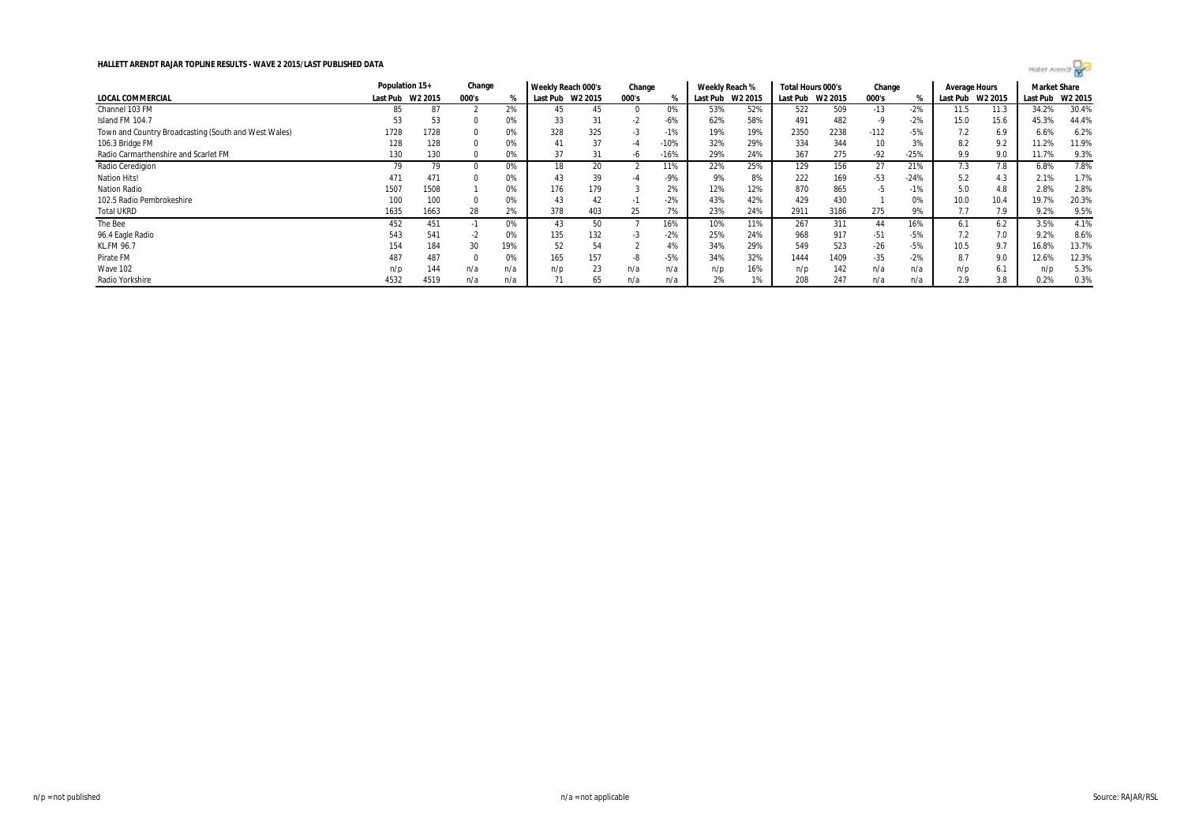|                                                      | Population 15+ |         |       | Change |          | Weekly Reach 000's | Change |        | Weekly Reach % |         | Total Hours 000's |         | Change |        | Average Hours |         | <b>Market Share</b> |         |
|------------------------------------------------------|----------------|---------|-------|--------|----------|--------------------|--------|--------|----------------|---------|-------------------|---------|--------|--------|---------------|---------|---------------------|---------|
| LOCAL COMMERCIAL                                     | Last Pub       | W2 2015 | 000's |        | Last Pub | W2 2015            | 000's  |        | Last Pub       | W2 2015 | Last Pub          | W2 2015 | 000's  |        | Last Pub      | W2 2015 | Last Pub            | W2 2015 |
| Channel 103 FM                                       | 85             | 87      |       | 2%     | 45       | 45                 |        | 0%     | 53%            | 52%     | 522               | 509     | $-13$  | $-2%$  | 11.5          | 11.3    | 34.2%               | 30.4%   |
| Island FM 104.7                                      | 53             | 53      |       | 0%     | 33       | 31                 | $-2$   | $-6%$  | 62%            | 58%     | 491               | 482     | -9     | $-2%$  | 15.0          | 15.6    | 45.3%               | 44.4%   |
| Town and Country Broadcasting (South and West Wales) | 1728           | 1728    |       | 0%     | 328      | 325                | - 5    | $-1%$  | 19%            | 19%     | 2350              | 2238    | $-112$ | $-5%$  |               | 6.9     | 6.6%                | 6.2%    |
| 106.3 Bridge FM                                      | 128            | 128     |       | 0%     | 41       | 37                 |        | $-10%$ | 32%            | 29%     | 334               | 344     | 10     | 3%     | 8.2           | 9.2     | 11.2%               | 11.9%   |
| Radio Carmarthenshire and Scarlet FM                 | 130            | 130     |       | 0%     | 37       | 31                 | -6     | 16%    | 29%            | 24%     | 367               | 275     | $-92$  | $-25%$ | 9.9           | 9.0     | 11.7%               | 9.3%    |
| Radio Ceredigion                                     | 79             | 79      |       | 0%     | 18       | 20                 |        | 11%    | 22%            | 25%     | 129               | 156     | 27     | 21%    | 7.3           | 7.8     | 6.8%                | 7.8%    |
| <b>Nation Hits!</b>                                  | 471            | 471     | 0     | 0%     | 43       | 39                 | -4     | $-9%$  | 9%             | 8%      | 222               | 169     | -53    | $-24%$ | 5.2           | 4.3     | 2.1%                | 1.7%    |
| <b>Nation Radio</b>                                  | 1507           | 1508    |       | 0%     | 176      | 179                |        | 2%     | 12%            | 12%     | 870               | 865     | -5     | $-1%$  | 5.0           | 4.8     | 2.8%                | 2.8%    |
| 102.5 Radio Pembrokeshire                            | 100            | 100     | O     | 0%     | 43       | 42                 | - 11   | $-2%$  | 43%            | 42%     | 429               | 430     |        | 0%     | 10.0          | 10.4    | 19.7%               | 20.3%   |
| <b>Total UKRD</b>                                    | 1635           | 1663    | 28    | 2%     | 378      | 403                | 25     | 7%     | 23%            | 24%     | 2911              | 3186    | 275    | 9%     |               | 7.9     | 9.2%                | 9.5%    |
| The Bee                                              | 452            | 451     | - 1   | 0%     | 43       | 50                 |        | 16%    | 10%            | 11%     | 267               | 311     | 44     | 16%    | 6.1           | 6.2     | 3.5%                | 4.1%    |
| 96.4 Eagle Radio                                     | 543            | 541     | $-2$  | 0%     | 135      | 132                |        | $-2%$  | 25%            | 24%     | 968               | 917     | $-51$  | $-5%$  | 7.2           | 7.0     | 9.2%                | 8.6%    |
| <b>KL.FM 96.7</b>                                    | 154            | 184     | 30    | 19%    | 52       | 54                 |        | 4%     | 34%            | 29%     | 549               | 523     | $-26$  | $-5%$  | 10.5          | 9.7     | 16.8%               | 13.7%   |
| Pirate FM                                            | 487            | 487     |       | 0%     | 165      | 157                | -8     | $-5%$  | 34%            | 32%     | 1444              | 1409    | $-35$  | $-2%$  | 8.7           | 9.0     | 12.6%               | 12.3%   |
| Wave 102                                             | n/p            | 144     | n/a   | n/a    | n/p      | 23                 | n/a    | n/a    | n/p            | 16%     | n/p               | 142     | n/a    | n/a    | n/p           | 6.1     | n/p                 | 5.3%    |
| Radio Yorkshire                                      | 4532           | 4519    | n/a   | n/a    |          | 65                 | n/a    |        | 2%             | 1%      | 208               | 247     | n/a    | n/a    | 2.9           | 3.8     | 0.2%                | 0.3%    |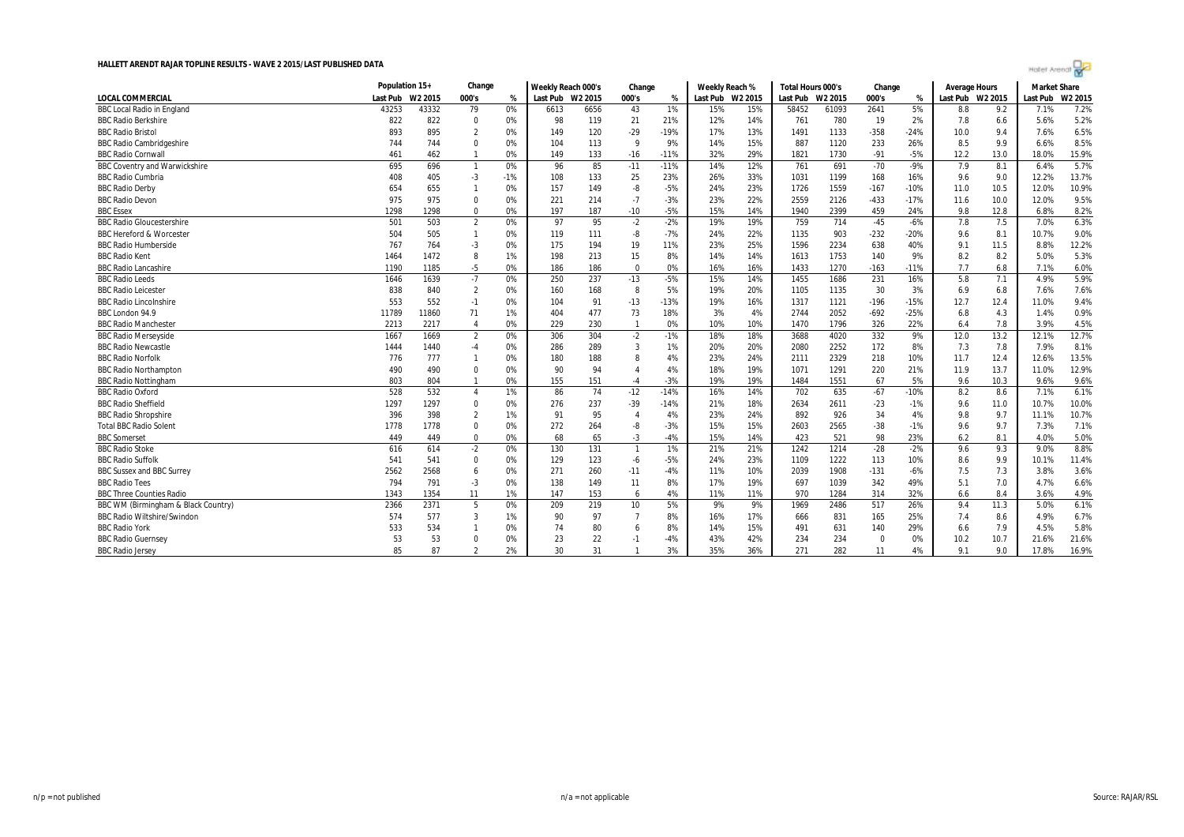|                                      |          | Population 15+ |                |       | Weekly Reach 000's |         | Change         |        | Weekly Reach % |         | Total Hours 000's |         | Change   |        | Average Hours |         | <b>Market Share</b> |         |
|--------------------------------------|----------|----------------|----------------|-------|--------------------|---------|----------------|--------|----------------|---------|-------------------|---------|----------|--------|---------------|---------|---------------------|---------|
| <b>LOCAL COMMERCIAL</b>              | Last Pub | W2 2015        | 000's          | %     | Last Pub           | W2 2015 | 000's          | %      | Last Pub       | W2 2015 | Last Pub          | W2 2015 | 000's    | %      | Last Pub      | W2 2015 | Last Pub            | W2 2015 |
| <b>BBC Local Radio in England</b>    | 43253    | 43332          | 79             | 0%    | 6613               | 6656    | 43             | 1%     | 15%            | 15%     | 58452             | 61093   | 2641     | 5%     | 8.8           | 9.2     | 7.1%                | 7.2%    |
| <b>BBC Radio Berkshire</b>           | 822      | 822            | $\mathbf 0$    | 0%    | 98                 | 119     | 21             | 21%    | 12%            | 14%     | 761               | 780     | 19       | 2%     | 7.8           | 6.6     | 5.6%                | 5.2%    |
| <b>BBC Radio Bristol</b>             | 893      | 895            | 2              | 0%    | 149                | 120     | $-29$          | -19%   | 17%            | 13%     | 1491              | 1133    | $-358$   | $-24%$ | 10.0          | 9.4     | 7.6%                | 6.5%    |
| <b>BBC Radio Cambridgeshire</b>      | 744      | 744            | $\Omega$       | 0%    | 104                | 113     | 9              | 9%     | 14%            | 15%     | 887               | 1120    | 233      | 26%    | 8.5           | 9.9     | 6.6%                | 8.5%    |
| <b>BBC Radio Cornwall</b>            | 461      | 462            | $\mathbf{1}$   | 0%    | 149                | 133     | $-16$          | $-11%$ | 32%            | 29%     | 1821              | 1730    | $-91$    | $-5%$  | 12.2          | 13.0    | 18.0%               | 15.9%   |
| <b>BBC Coventry and Warwickshire</b> | 695      | 696            | $\overline{1}$ | 0%    | 96                 | 85      | $-11$          | $-11%$ | 14%            | 12%     | 761               | 691     | $-70$    | $-9%$  | 7.9           | 8.1     | 6.4%                | 5.7%    |
| <b>BBC Radio Cumbria</b>             | 408      | 405            | $-3$           | $-1%$ | 108                | 133     | 25             | 23%    | 26%            | 33%     | 1031              | 1199    | 168      | 16%    | 9.6           | 9.0     | 12.2%               | 13.7%   |
| <b>BBC Radio Derby</b>               | 654      | 655            | $\mathbf{1}$   | 0%    | 157                | 149     | -8             | $-5%$  | 24%            | 23%     | 1726              | 1559    | $-167$   | $-10%$ | 11.0          | 10.5    | 12.0%               | 10.9%   |
| <b>BBC Radio Devon</b>               | 975      | 975            | $\Omega$       | 0%    | 221                | 214     | $-7$           | $-3%$  | 23%            | 22%     | 2559              | 2126    | $-433$   | $-17%$ | 11.6          | 10.0    | 12.0%               | 9.5%    |
| <b>BBC Essex</b>                     | 1298     | 1298           | 0              | 0%    | 197                | 187     | $-10$          | $-5%$  | 15%            | 14%     | 1940              | 2399    | 459      | 24%    | 9.8           | 12.8    | 6.8%                | 8.2%    |
| <b>BBC Radio Gloucestershire</b>     | 501      | 503            | $\overline{2}$ | 0%    | 97                 | 95      | $-2$           | $-2%$  | 19%            | 19%     | 759               | 714     | $-45$    | $-6%$  | 7.8           | 7.5     | 7.0%                | 6.3%    |
| <b>BBC Hereford &amp; Worcester</b>  | 504      | 505            | $\mathbf{1}$   | 0%    | 119                | 111     | -8             | $-7%$  | 24%            | 22%     | 1135              | 903     | $-232$   | $-20%$ | 9.6           | 8.1     | 10.7%               | 9.0%    |
| <b>BBC Radio Humberside</b>          | 767      | 764            | $-3$           | 0%    | 175                | 194     | 19             | 11%    | 23%            | 25%     | 1596              | 2234    | 638      | 40%    | 9.1           | 11.5    | 8.8%                | 12.2%   |
| <b>BBC Radio Kent</b>                | 1464     | 1472           | 8              | 1%    | 198                | 213     | 15             | 8%     | 14%            | 14%     | 1613              | 1753    | 140      | 9%     | 8.2           | 8.2     | 5.0%                | 5.3%    |
| <b>BBC Radio Lancashire</b>          | 1190     | 1185           | $-5$           | 0%    | 186                | 186     | $\mathbf 0$    | 0%     | 16%            | 16%     | 1433              | 1270    | $-163$   | $-11%$ | 7.7           | 6.8     | 7.1%                | 6.0%    |
| <b>BBC Radio Leeds</b>               | 1646     | 1639           | $-7$           | 0%    | 250                | 237     | $-13$          | $-5%$  | 15%            | 14%     | 1455              | 1686    | 231      | 16%    | 5.8           | 7.1     | 4.9%                | 5.9%    |
| <b>BBC Radio Leicester</b>           | 838      | 840            | $\overline{2}$ | 0%    | 160                | 168     | 8              | 5%     | 19%            | 20%     | 1105              | 1135    | 30       | 3%     | 6.9           | 6.8     | 7.6%                | 7.6%    |
| <b>BBC Radio Lincolnshire</b>        | 553      | 552            | $-1$           | 0%    | 104                | 91      | $-13$          | $-13%$ | 19%            | 16%     | 1317              | 1121    | $-196$   | $-15%$ | 12.7          | 12.4    | 11.0%               | 9.4%    |
| BBC London 94.9                      | 11789    | 11860          | 71             | 1%    | 404                | 477     | 73             | 18%    | 3%             | 4%      | 2744              | 2052    | $-692$   | $-25%$ | 6.8           | 4.3     | 1.4%                | 0.9%    |
| <b>BBC Radio Manchester</b>          | 2213     | 2217           | $\overline{4}$ | 0%    | 229                | 230     | $\overline{1}$ | 0%     | 10%            | 10%     | 1470              | 1796    | 326      | 22%    | 6.4           | 7.8     | 3.9%                | 4.5%    |
| <b>BBC Radio Mersevside</b>          | 1667     | 1669           | $\overline{2}$ | 0%    | 306                | 304     | $-2$           | $-1%$  | 18%            | 18%     | 3688              | 4020    | 332      | 9%     | 12.0          | 13.2    | 12.1%               | 12.7%   |
| <b>BBC Radio Newcastle</b>           | 1444     | 1440           | $-4$           | 0%    | 286                | 289     | 3              | 1%     | 20%            | 20%     | 2080              | 2252    | 172      | 8%     | 7.3           | 7.8     | 7.9%                | 8.1%    |
| <b>BBC Radio Norfolk</b>             | 776      | 777            | $\mathbf{1}$   | 0%    | 180                | 188     | 8              | 4%     | 23%            | 24%     | 2111              | 2329    | 218      | 10%    | 11.7          | 12.4    | 12.6%               | 13.5%   |
| <b>BBC Radio Northampton</b>         | 490      | 490            | $\mathbf 0$    | 0%    | 90                 | 94      | $\overline{4}$ | 4%     | 18%            | 19%     | 1071              | 1291    | 220      | 21%    | 11.9          | 13.7    | 11.0%               | 12.9%   |
| <b>BBC Radio Nottingham</b>          | 803      | 804            | $\overline{1}$ | 0%    | 155                | 151     | $-4$           | $-3%$  | 19%            | 19%     | 1484              | 1551    | 67       | 5%     | 9.6           | 10.3    | 9.6%                | 9.6%    |
| <b>BBC Radio Oxford</b>              | 528      | 532            | $\overline{4}$ | 1%    | 86                 | 74      | $-12$          | $-14%$ | 16%            | 14%     | 702               | 635     | $-67$    | $-10%$ | 8.2           | 8.6     | 7.1%                | 6.1%    |
| <b>BBC Radio Sheffield</b>           | 1297     | 1297           | $\mathbf 0$    | 0%    | 276                | 237     | $-39$          | $-14%$ | 21%            | 18%     | 2634              | 2611    | $-23$    | $-1%$  | 9.6           | 11.0    | 10.7%               | 10.0%   |
| <b>BBC Radio Shropshire</b>          | 396      | 398            | $\overline{2}$ | 1%    | 91                 | 95      | $\overline{4}$ | 4%     | 23%            | 24%     | 892               | 926     | 34       | 4%     | 9.8           | 9.7     | 11.1%               | 10.7%   |
| <b>Total BBC Radio Solent</b>        | 1778     | 1778           | $\Omega$       | 0%    | 272                | 264     | -8             | $-3%$  | 15%            | 15%     | 2603              | 2565    | $-38$    | $-1%$  | 9.6           | 9.7     | 7.3%                | 7.1%    |
| <b>BBC Somerset</b>                  | 449      | 449            | $\mathbf 0$    | 0%    | 68                 | 65      | $-3$           | $-4%$  | 15%            | 14%     | 423               | 521     | 98       | 23%    | 6.2           | 8.1     | 4.0%                | 5.0%    |
| <b>BBC Radio Stoke</b>               | 616      | 614            | $-2$           | 0%    | 130                | 131     | $\overline{1}$ | 1%     | 21%            | 21%     | 1242              | 1214    | $-28$    | $-2%$  | 9.6           | 9.3     | 9.0%                | 8.8%    |
| <b>BBC Radio Suffolk</b>             | 541      | 541            | $\mathbf 0$    | 0%    | 129                | 123     | $-6$           | $-5%$  | 24%            | 23%     | 1109              | 1222    | 113      | 10%    | 8.6           | 9.9     | 10.1%               | 11.4%   |
| <b>BBC Sussex and BBC Surrey</b>     | 2562     | 2568           | 6              | 0%    | 271                | 260     | $-11$          | $-4%$  | 11%            | 10%     | 2039              | 1908    | $-131$   | $-6%$  | 7.5           | 7.3     | 3.8%                | 3.6%    |
| <b>BBC Radio Tees</b>                | 794      | 791            | $-3$           | 0%    | 138                | 149     | 11             | 8%     | 17%            | 19%     | 697               | 1039    | 342      | 49%    | 5.1           | 7.0     | 4.7%                | 6.6%    |
| <b>BBC Three Counties Radio</b>      | 1343     | 1354           | 11             | 1%    | 147                | 153     | 6              | 4%     | 11%            | 11%     | 970               | 1284    | 314      | 32%    | 6.6           | 8.4     | 3.6%                | 4.9%    |
| BBC WM (Birmingham & Black Country)  | 2366     | 2371           | 5              | 0%    | 209                | 219     | 10             | 5%     | 9%             | 9%      | 1969              | 2486    | 517      | 26%    | 9.4           | 11.3    | 5.0%                | 6.1%    |
| <b>BBC Radio Wiltshire/Swindon</b>   | 574      | 577            | 3              | 1%    | 90                 | 97      |                | 8%     | 16%            | 17%     | 666               | 831     | 165      | 25%    | 7.4           | 8.6     | 4.9%                | 6.7%    |
| <b>BBC Radio York</b>                | 533      | 534            | -1             | 0%    | 74                 | 80      | 6              | 8%     | 14%            | 15%     | 491               | 631     | 140      | 29%    | 6.6           | 7.9     | 4.5%                | 5.8%    |
| <b>BBC Radio Guernsey</b>            | 53       | 53             | $\Omega$       | 0%    | 23                 | 22      | $\cdot$ 1      | $-4%$  | 43%            | 42%     | 234               | 234     | $\Omega$ | 0%     | 10.2          | 10.7    | 21.6%               | 21.6%   |
| <b>BBC Radio Jersey</b>              | 85       | 87             | $\overline{2}$ | 2%    | 30                 | 31      |                | 3%     | 35%            | 36%     | 271               | 282     | 11       | 4%     | 9.1           | 9.0     | 17.8%               | 16.9%   |